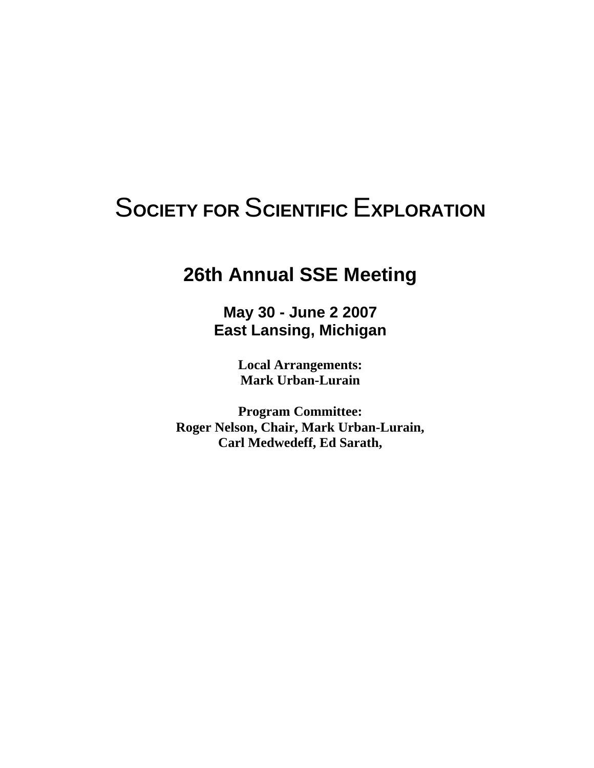# S**OCIETY FOR** S**CIENTIFIC** E**XPLORATION**

# **26th Annual SSE Meeting**

**May 30 - June 2 2007 East Lansing, Michigan** 

> **Local Arrangements: Mark Urban-Lurain**

**Program Committee: Roger Nelson, Chair, Mark Urban-Lurain, Carl Medwedeff, Ed Sarath,**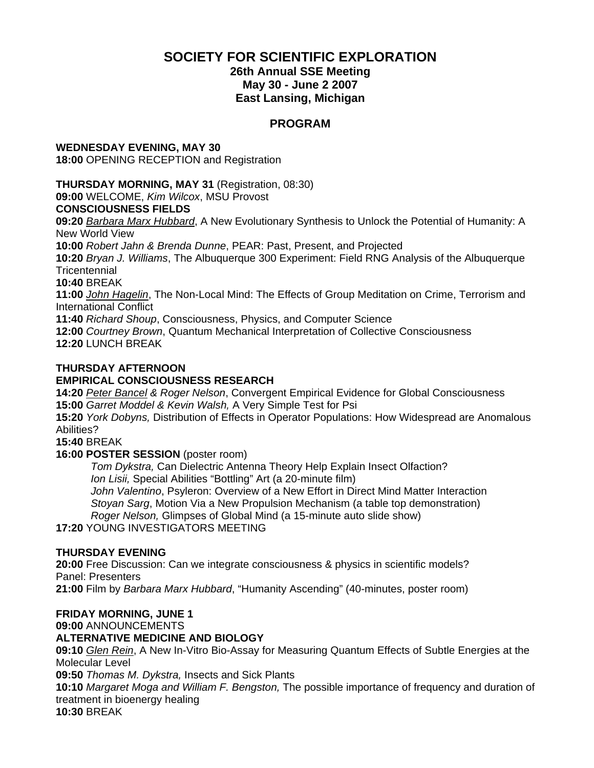### **SOCIETY FOR SCIENTIFIC EXPLORATION**

#### **26th Annual SSE Meeting May 30 - June 2 2007 East Lansing, Michigan**

### **PROGRAM**

# **WEDNESDAY EVENING, MAY 30**

**18:00** OPENING RECEPTION and Registration

### **THURSDAY MORNING, MAY 31** (Registration, 08:30)

**09:00** WELCOME, *Kim Wilcox*, MSU Provost

### **CONSCIOUSNESS FIELDS**

**09:20** *Barbara Marx Hubbard*, A New Evolutionary Synthesis to Unlock the Potential of Humanity: A New World View

**10:00** *Robert Jahn & Brenda Dunne*, PEAR: Past, Present, and Projected

**10:20** *Bryan J. Williams*, The Albuquerque 300 Experiment: Field RNG Analysis of the Albuquerque **Tricentennial** 

**10:40** BREAK

**11:00** *John Hagelin*, The Non-Local Mind: The Effects of Group Meditation on Crime, Terrorism and International Conflict

**11:40** *Richard Shoup*, Consciousness, Physics, and Computer Science

**12:00** *Courtney Brown*, Quantum Mechanical Interpretation of Collective Consciousness

**12:20** LUNCH BREAK

### **THURSDAY AFTERNOON**

### **EMPIRICAL CONSCIOUSNESS RESEARCH**

**14:20** *Peter Bancel & Roger Nelson*, Convergent Empirical Evidence for Global Consciousness **15:00** *Garret Moddel & Kevin Walsh,* A Very Simple Test for Psi

**15:20** *York Dobyns,* Distribution of Effects in Operator Populations: How Widespread are Anomalous Abilities?

**15:40** BREAK

#### **16:00 POSTER SESSION** (poster room)

*Tom Dykstra,* Can Dielectric Antenna Theory Help Explain Insect Olfaction? *Ion Lisii,* Special Abilities "Bottling" Art (a 20-minute film) *John Valentino*, Psyleron: Overview of a New Effort in Direct Mind Matter Interaction

*Stoyan Sarg*, Motion Via a New Propulsion Mechanism (a table top demonstration) *Roger Nelson,* Glimpses of Global Mind (a 15-minute auto slide show)

**17:20** YOUNG INVESTIGATORS MEETING

### **THURSDAY EVENING**

**20:00** Free Discussion: Can we integrate consciousness & physics in scientific models? Panel: Presenters

**21:00** Film by *Barbara Marx Hubbard*, "Humanity Ascending" (40-minutes, poster room)

### **FRIDAY MORNING, JUNE 1**

#### **09:00** ANNOUNCEMENTS

### **ALTERNATIVE MEDICINE AND BIOLOGY**

**09:10** *Glen Rein*, A New In-Vitro Bio-Assay for Measuring Quantum Effects of Subtle Energies at the Molecular Level

**09:50** *Thomas M. Dykstra,* Insects and Sick Plants

**10:10** *Margaret Moga and William F. Bengston,* The possible importance of frequency and duration of treatment in bioenergy healing

**10:30** BREAK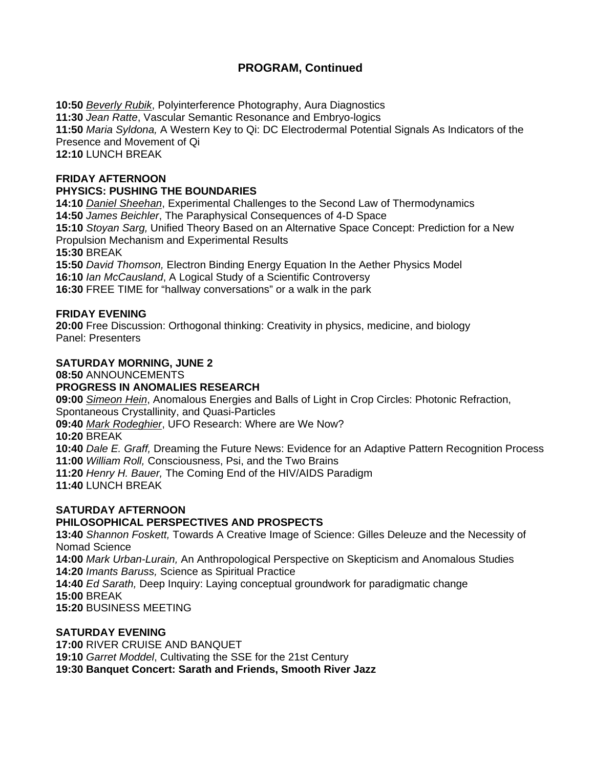### **PROGRAM, Continued**

**10:50** *Beverly Rubik*, Polyinterference Photography, Aura Diagnostics **11:30** *Jean Ratte*, Vascular Semantic Resonance and Embryo-logics **11:50** *Maria Syldona,* A Western Key to Qi: DC Electrodermal Potential Signals As Indicators of the Presence and Movement of Qi **12:10** LUNCH BREAK

#### **FRIDAY AFTERNOON**

#### **PHYSICS: PUSHING THE BOUNDARIES**

**14:10** *Daniel Sheehan*, Experimental Challenges to the Second Law of Thermodynamics **14:50** *James Beichler*, The Paraphysical Consequences of 4-D Space

**15:10** *Stoyan Sarg,* Unified Theory Based on an Alternative Space Concept: Prediction for a New

Propulsion Mechanism and Experimental Results

**15:30** BREAK

**15:50** *David Thomson,* Electron Binding Energy Equation In the Aether Physics Model

**16:10** *Ian McCausland*, A Logical Study of a Scientific Controversy

**16:30** FREE TIME for "hallway conversations" or a walk in the park

#### **FRIDAY EVENING**

**20:00** Free Discussion: Orthogonal thinking: Creativity in physics, medicine, and biology Panel: Presenters

#### **SATURDAY MORNING, JUNE 2**

**08:50** ANNOUNCEMENTS

#### **PROGRESS IN ANOMALIES RESEARCH**

**09:00** *Simeon Hein*, Anomalous Energies and Balls of Light in Crop Circles: Photonic Refraction, Spontaneous Crystallinity, and Quasi-Particles

**09:40** *Mark Rodeghier*, UFO Research: Where are We Now?

**10:20** BREAK

**10:40** *Dale E. Graff,* Dreaming the Future News: Evidence for an Adaptive Pattern Recognition Process **11:00** *William Roll,* Consciousness, Psi, and the Two Brains

**11:20** *Henry H. Bauer,* The Coming End of the HIV/AIDS Paradigm

**11:40** LUNCH BREAK

# **SATURDAY AFTERNOON**

### **PHILOSOPHICAL PERSPECTIVES AND PROSPECTS**

**13:40** *Shannon Foskett,* Towards A Creative Image of Science: Gilles Deleuze and the Necessity of Nomad Science

**14:00** *Mark Urban-Lurain,* An Anthropological Perspective on Skepticism and Anomalous Studies **14:20** *Imants Baruss,* Science as Spiritual Practice

**14:40** *Ed Sarath,* Deep Inquiry: Laying conceptual groundwork for paradigmatic change

**15:00** BREAK

**15:20** BUSINESS MEETING

#### **SATURDAY EVENING**

**17:00** RIVER CRUISE AND BANQUET

**19:10** *Garret Moddel*, Cultivating the SSE for the 21st Century

**19:30 Banquet Concert: Sarath and Friends, Smooth River Jazz**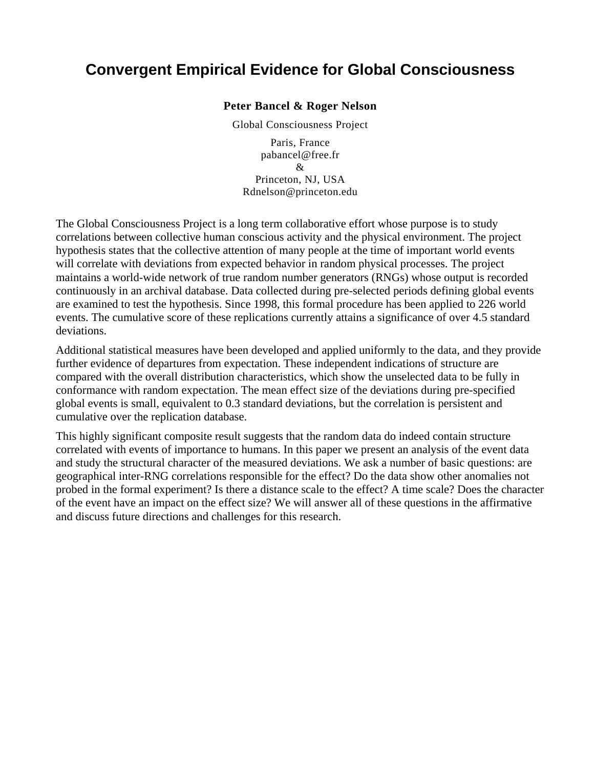# **Convergent Empirical Evidence for Global Consciousness**

#### **Peter Bancel & Roger Nelson**

Global Consciousness Project

Paris, France [pabancel@free.fr](mailto:pabancel@free.fr)  $\mathcal{R}_{\mathcal{L}}$ Princeton, NJ, USA Rdnelson@princeton.edu

The Global Consciousness Project is a long term collaborative effort whose purpose is to study correlations between collective human conscious activity and the physical environment. The project hypothesis states that the collective attention of many people at the time of important world events will correlate with deviations from expected behavior in random physical processes. The project maintains a world-wide network of true random number generators (RNGs) whose output is recorded continuously in an archival database. Data collected during pre-selected periods defining global events are examined to test the hypothesis. Since 1998, this formal procedure has been applied to 226 world events. The cumulative score of these replications currently attains a significance of over 4.5 standard deviations.

Additional statistical measures have been developed and applied uniformly to the data, and they provide further evidence of departures from expectation. These independent indications of structure are compared with the overall distribution characteristics, which show the unselected data to be fully in conformance with random expectation. The mean effect size of the deviations during pre-specified global events is small, equivalent to 0.3 standard deviations, but the correlation is persistent and cumulative over the replication database.

This highly significant composite result suggests that the random data do indeed contain structure correlated with events of importance to humans. In this paper we present an analysis of the event data and study the structural character of the measured deviations. We ask a number of basic questions: are geographical inter-RNG correlations responsible for the effect? Do the data show other anomalies not probed in the formal experiment? Is there a distance scale to the effect? A time scale? Does the character of the event have an impact on the effect size? We will answer all of these questions in the affirmative and discuss future directions and challenges for this research.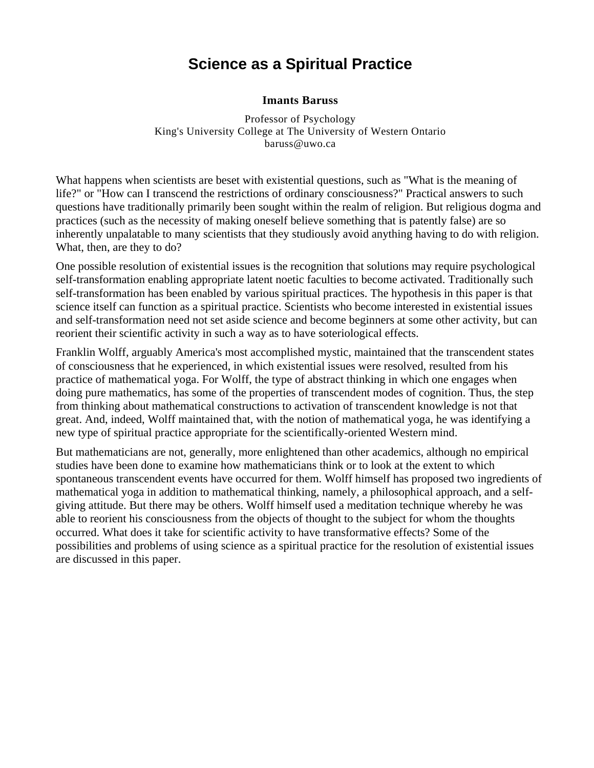# **Science as a Spiritual Practice**

#### **Imants Baruss**

Professor of Psychology King's University College at The University of Western Ontario [baruss@uwo.ca](mailto:baruss@uwo.ca)

What happens when scientists are beset with existential questions, such as "What is the meaning of life?" or "How can I transcend the restrictions of ordinary consciousness?" Practical answers to such questions have traditionally primarily been sought within the realm of religion. But religious dogma and practices (such as the necessity of making oneself believe something that is patently false) are so inherently unpalatable to many scientists that they studiously avoid anything having to do with religion. What, then, are they to do?

One possible resolution of existential issues is the recognition that solutions may require psychological self-transformation enabling appropriate latent noetic faculties to become activated. Traditionally such self-transformation has been enabled by various spiritual practices. The hypothesis in this paper is that science itself can function as a spiritual practice. Scientists who become interested in existential issues and self-transformation need not set aside science and become beginners at some other activity, but can reorient their scientific activity in such a way as to have soteriological effects.

Franklin Wolff, arguably America's most accomplished mystic, maintained that the transcendent states of consciousness that he experienced, in which existential issues were resolved, resulted from his practice of mathematical yoga. For Wolff, the type of abstract thinking in which one engages when doing pure mathematics, has some of the properties of transcendent modes of cognition. Thus, the step from thinking about mathematical constructions to activation of transcendent knowledge is not that great. And, indeed, Wolff maintained that, with the notion of mathematical yoga, he was identifying a new type of spiritual practice appropriate for the scientifically-oriented Western mind.

But mathematicians are not, generally, more enlightened than other academics, although no empirical studies have been done to examine how mathematicians think or to look at the extent to which spontaneous transcendent events have occurred for them. Wolff himself has proposed two ingredients of mathematical yoga in addition to mathematical thinking, namely, a philosophical approach, and a selfgiving attitude. But there may be others. Wolff himself used a meditation technique whereby he was able to reorient his consciousness from the objects of thought to the subject for whom the thoughts occurred. What does it take for scientific activity to have transformative effects? Some of the possibilities and problems of using science as a spiritual practice for the resolution of existential issues are discussed in this paper.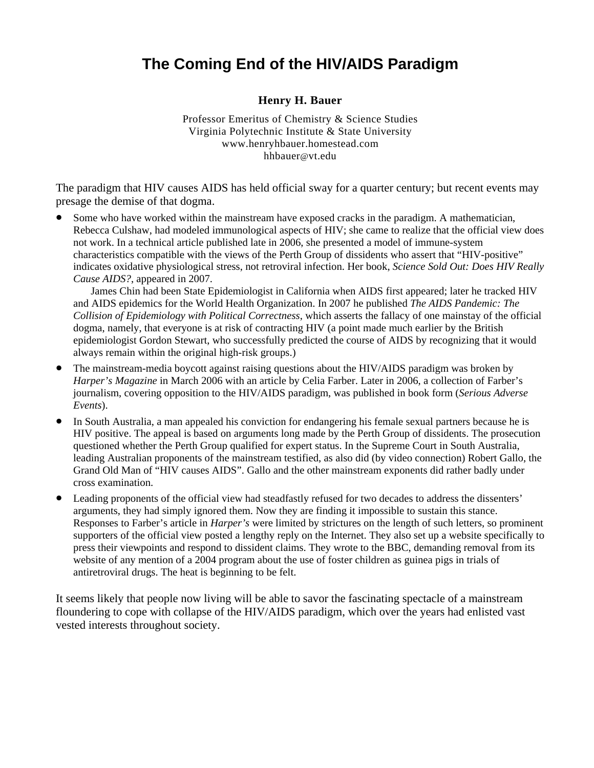# **The Coming End of the HIV/AIDS Paradigm**

### **Henry H. Bauer**

Professor Emeritus of Chemistry & Science Studies Virginia Polytechnic Institute & State University www.henryhbauer.homestead.com [hhbauer@vt.edu](mailto:hhbauer@vt.edu)

The paradigm that HIV causes AIDS has held official sway for a quarter century; but recent events may presage the demise of that dogma.

• Some who have worked within the mainstream have exposed cracks in the paradigm. A mathematician, Rebecca Culshaw, had modeled immunological aspects of HIV; she came to realize that the official view does not work. In a technical article published late in 2006, she presented a model of immune-system characteristics compatible with the views of the Perth Group of dissidents who assert that "HIV-positive" indicates oxidative physiological stress, not retroviral infection. Her book, *Science Sold Out: Does HIV Really Cause AIDS?*, appeared in 2007.

 James Chin had been State Epidemiologist in California when AIDS first appeared; later he tracked HIV and AIDS epidemics for the World Health Organization. In 2007 he published *The AIDS Pandemic: The Collision of Epidemiology with Political Correctness*, which asserts the fallacy of one mainstay of the official dogma, namely, that everyone is at risk of contracting HIV (a point made much earlier by the British epidemiologist Gordon Stewart, who successfully predicted the course of AIDS by recognizing that it would always remain within the original high-risk groups.)

- The mainstream-media boycott against raising questions about the HIV/AIDS paradigm was broken by *Harper's Magazine* in March 2006 with an article by Celia Farber. Later in 2006, a collection of Farber's journalism, covering opposition to the HIV/AIDS paradigm, was published in book form (*Serious Adverse Events*).
- In South Australia, a man appealed his conviction for endangering his female sexual partners because he is HIV positive. The appeal is based on arguments long made by the Perth Group of dissidents. The prosecution questioned whether the Perth Group qualified for expert status. In the Supreme Court in South Australia, leading Australian proponents of the mainstream testified, as also did (by video connection) Robert Gallo, the Grand Old Man of "HIV causes AIDS". Gallo and the other mainstream exponents did rather badly under cross examination.
- Leading proponents of the official view had steadfastly refused for two decades to address the dissenters' arguments, they had simply ignored them. Now they are finding it impossible to sustain this stance. Responses to Farber's article in *Harper's* were limited by strictures on the length of such letters, so prominent supporters of the official view posted a lengthy reply on the Internet. They also set up a website specifically to press their viewpoints and respond to dissident claims. They wrote to the BBC, demanding removal from its website of any mention of a 2004 program about the use of foster children as guinea pigs in trials of antiretroviral drugs. The heat is beginning to be felt.

floundering to cope with collapse of the HIV/AIDS paradigm, which over the years had enlisted vast vested interests throughout society. It seems likely that people now living will be able to savor the fascinating spectacle of a mainstream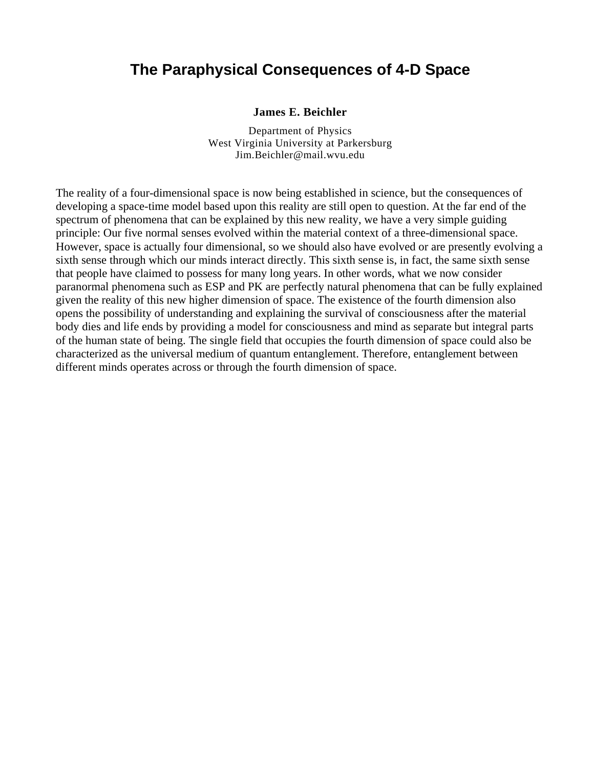### **The Paraphysical Consequences of 4-D Space**

#### **James E. Beichler**

Department of Physics West Virginia University at Parkersburg [Jim.Beichler@mail.wvu.edu](mailto:Jim.Beichler@mail.wvu.edu)

The reality of a four-dimensional space is now being established in science, but the consequences of developing a space-time model based upon this reality are still open to question. At the far end of the spectrum of phenomena that can be explained by this new reality, we have a very simple guiding principle: Our five normal senses evolved within the material context of a three-dimensional space. However, space is actually four dimensional, so we should also have evolved or are presently evolving a sixth sense through which our minds interact directly. This sixth sense is, in fact, the same sixth sense that people have claimed to possess for many long years. In other words, what we now consider paranormal phenomena such as ESP and PK are perfectly natural phenomena that can be fully explained given the reality of this new higher dimension of space. The existence of the fourth dimension also opens the possibility of understanding and explaining the survival of consciousness after the material body dies and life ends by providing a model for consciousness and mind as separate but integral parts of the human state of being. The single field that occupies the fourth dimension of space could also be characterized as the universal medium of quantum entanglement. Therefore, entanglement between different minds operates across or through the fourth dimension of space.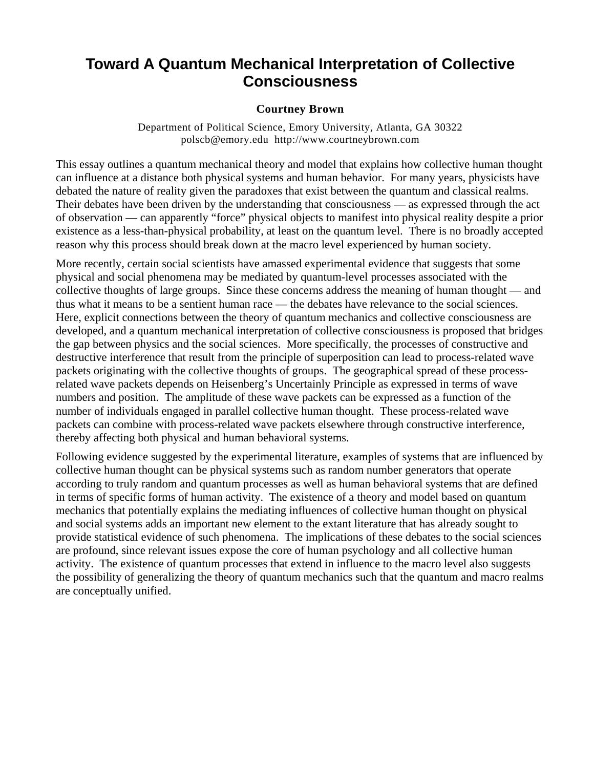# **Toward A Quantum Mechanical Interpretation of Collective Consciousness**

### **Courtney Brown**

Department of Political Science, Emory University, Atlanta, GA 30322 [polscb@emory.edu](mailto:polscb@emory.edu) [http://www.courtneybrown.com](http://www.courtneybrown.com/)

This essay outlines a quantum mechanical theory and model that explains how collective human thought can influence at a distance both physical systems and human behavior. For many years, physicists have debated the nature of reality given the paradoxes that exist between the quantum and classical realms. Their debates have been driven by the understanding that consciousness — as expressed through the act of observation — can apparently "force" physical objects to manifest into physical reality despite a prior existence as a less-than-physical probability, at least on the quantum level. There is no broadly accepted reason why this process should break down at the macro level experienced by human society.

More recently, certain social scientists have amassed experimental evidence that suggests that some physical and social phenomena may be mediated by quantum-level processes associated with the collective thoughts of large groups. Since these concerns address the meaning of human thought — and thus what it means to be a sentient human race — the debates have relevance to the social sciences. Here, explicit connections between the theory of quantum mechanics and collective consciousness are developed, and a quantum mechanical interpretation of collective consciousness is proposed that bridges the gap between physics and the social sciences. More specifically, the processes of constructive and destructive interference that result from the principle of superposition can lead to process-related wave packets originating with the collective thoughts of groups. The geographical spread of these processrelated wave packets depends on Heisenberg's Uncertainly Principle as expressed in terms of wave numbers and position. The amplitude of these wave packets can be expressed as a function of the number of individuals engaged in parallel collective human thought. These process-related wave packets can combine with process-related wave packets elsewhere through constructive interference, thereby affecting both physical and human behavioral systems.

Following evidence suggested by the experimental literature, examples of systems that are influenced by collective human thought can be physical systems such as random number generators that operate according to truly random and quantum processes as well as human behavioral systems that are defined in terms of specific forms of human activity. The existence of a theory and model based on quantum mechanics that potentially explains the mediating influences of collective human thought on physical and social systems adds an important new element to the extant literature that has already sought to provide statistical evidence of such phenomena. The implications of these debates to the social sciences are profound, since relevant issues expose the core of human psychology and all collective human activity. The existence of quantum processes that extend in influence to the macro level also suggests the possibility of generalizing the theory of quantum mechanics such that the quantum and macro realms are conceptually unified.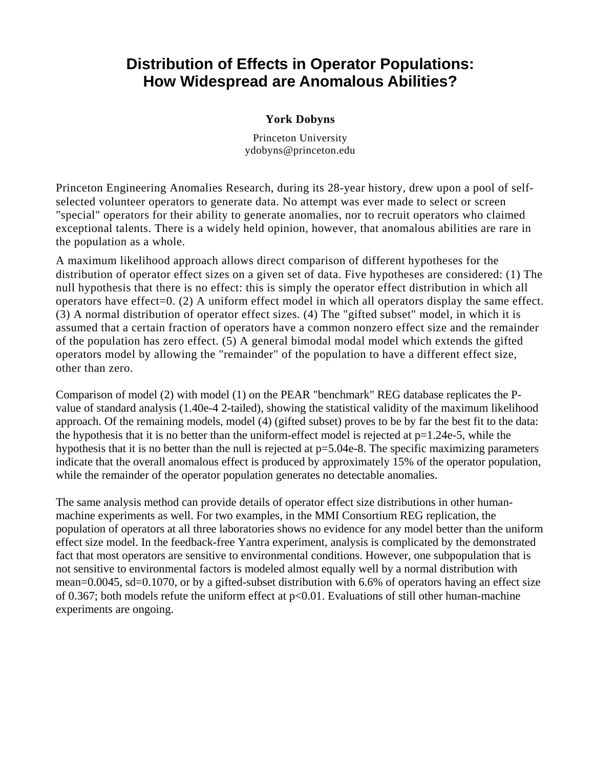# **Distribution of Effects in Operator Populations: How Widespread are Anomalous Abilities?**

### **York Dobyns**

Princeton University ydobyns@princeton.edu

Princeton Engineering Anomalies Research, during its 28-year history, drew upon a pool of selfselected volunteer operators to generate data. No attempt was ever made to select or screen "special" operators for their ability to generate anomalies, nor to recruit operators who claimed exceptional talents. There is a widely held opinion, however, that anomalous abilities are rare in the population as a whole.

A maximum likelihood approach allows direct comparison of different hypotheses for the distribution of operator effect sizes on a given set of data. Five hypotheses are considered: (1) The null hypothesis that there is no effect: this is simply the operator effect distribution in which all operators have effect=0. (2) A uniform effect model in which all operators display the same effect. (3) A normal distribution of operator effect sizes. (4) The "gifted subset" model, in which it is assumed that a certain fraction of operators have a common nonzero effect size and the remainder of the population has zero effect. (5) A general bimodal modal model which extends the gifted operators model by allowing the "remainder" of the population to have a different effect size, other than zero.

Comparison of model (2) with model (1) on the PEAR "benchmark" REG database replicates the Pvalue of standard analysis (1.40e-4 2-tailed), showing the statistical validity of the maximum likelihood approach. Of the remaining models, model (4) (gifted subset) proves to be by far the best fit to the data: the hypothesis that it is no better than the uniform-effect model is rejected at  $p=1.24e-5$ , while the hypothesis that it is no better than the null is rejected at  $p=5.04e-8$ . The specific maximizing parameters indicate that the overall anomalous effect is produced by approximately 15% of the operator population, while the remainder of the operator population generates no detectable anomalies.

The same analysis method can provide details of operator effect size distributions in other humanmachine experiments as well. For two examples, in the MMI Consortium REG replication, the population of operators at all three laboratories shows no evidence for any model better than the uniform effect size model. In the feedback-free Yantra experiment, analysis is complicated by the demonstrated fact that most operators are sensitive to environmental conditions. However, one subpopulation that is not sensitive to environmental factors is modeled almost equally well by a normal distribution with mean=0.0045, sd=0.1070, or by a gifted-subset distribution with 6.6% of operators having an effect size of 0.367; both models refute the uniform effect at p<0.01. Evaluations of still other human-machine experiments are ongoing.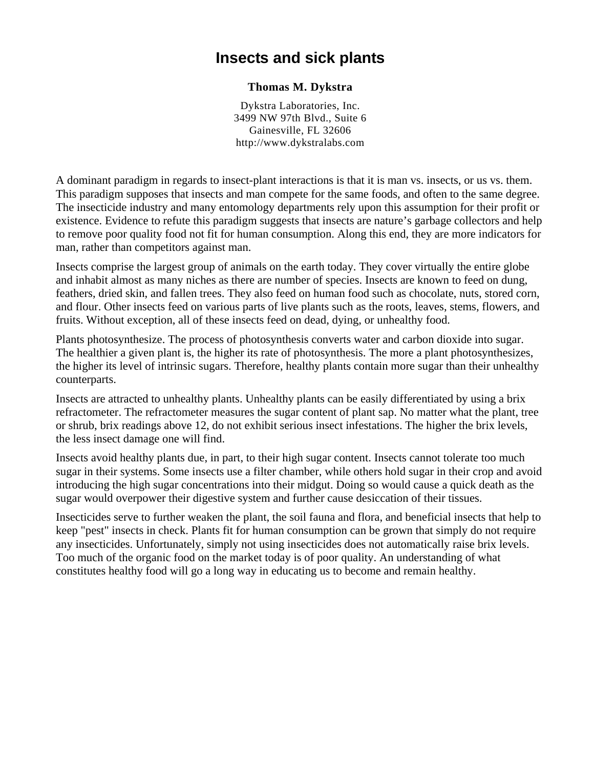### **Insects and sick plants**

### **Thomas M. Dykstra**

Dykstra Laboratories, Inc. 3499 NW 97th Blvd., Suite 6 Gainesville, FL 32606 [http://www.dykstralabs.com](http://www.dykstralabs.com/)

A dominant paradigm in regards to insect-plant interactions is that it is man vs. insects, or us vs. them. This paradigm supposes that insects and man compete for the same foods, and often to the same degree. The insecticide industry and many entomology departments rely upon this assumption for their profit or existence. Evidence to refute this paradigm suggests that insects are nature's garbage collectors and help to remove poor quality food not fit for human consumption. Along this end, they are more indicators for man, rather than competitors against man.

Insects comprise the largest group of animals on the earth today. They cover virtually the entire globe and inhabit almost as many niches as there are number of species. Insects are known to feed on dung, feathers, dried skin, and fallen trees. They also feed on human food such as chocolate, nuts, stored corn, and flour. Other insects feed on various parts of live plants such as the roots, leaves, stems, flowers, and fruits. Without exception, all of these insects feed on dead, dying, or unhealthy food.

Plants photosynthesize. The process of photosynthesis converts water and carbon dioxide into sugar. The healthier a given plant is, the higher its rate of photosynthesis. The more a plant photosynthesizes, the higher its level of intrinsic sugars. Therefore, healthy plants contain more sugar than their unhealthy counterparts.

Insects are attracted to unhealthy plants. Unhealthy plants can be easily differentiated by using a brix refractometer. The refractometer measures the sugar content of plant sap. No matter what the plant, tree or shrub, brix readings above 12, do not exhibit serious insect infestations. The higher the brix levels, the less insect damage one will find.

Insects avoid healthy plants due, in part, to their high sugar content. Insects cannot tolerate too much sugar in their systems. Some insects use a filter chamber, while others hold sugar in their crop and avoid introducing the high sugar concentrations into their midgut. Doing so would cause a quick death as the sugar would overpower their digestive system and further cause desiccation of their tissues.

Insecticides serve to further weaken the plant, the soil fauna and flora, and beneficial insects that help to keep "pest" insects in check. Plants fit for human consumption can be grown that simply do not require any insecticides. Unfortunately, simply not using insecticides does not automatically raise brix levels. Too much of the organic food on the market today is of poor quality. An understanding of what constitutes healthy food will go a long way in educating us to become and remain healthy.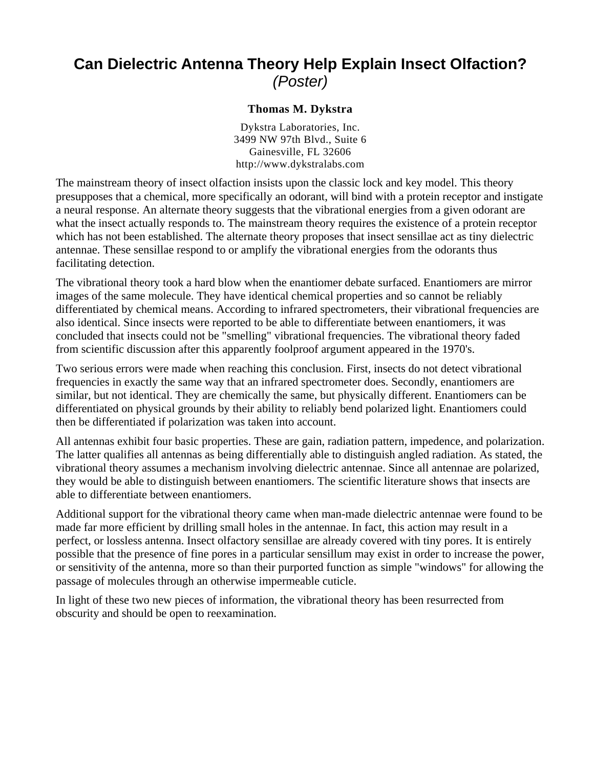# **Can Dielectric Antenna Theory Help Explain Insect Olfaction?**  *(Poster)*

### **Thomas M. Dykstra**

Dykstra Laboratories, Inc. 3499 NW 97th Blvd., Suite 6 Gainesville, FL 32606 http://www.dykstralabs.com

The mainstream theory of insect olfaction insists upon the classic lock and key model. This theory presupposes that a chemical, more specifically an odorant, will bind with a protein receptor and instigate a neural response. An alternate theory suggests that the vibrational energies from a given odorant are what the insect actually responds to. The mainstream theory requires the existence of a protein receptor which has not been established. The alternate theory proposes that insect sensillae act as tiny dielectric antennae. These sensillae respond to or amplify the vibrational energies from the odorants thus facilitating detection.

The vibrational theory took a hard blow when the enantiomer debate surfaced. Enantiomers are mirror images of the same molecule. They have identical chemical properties and so cannot be reliably differentiated by chemical means. According to infrared spectrometers, their vibrational frequencies are also identical. Since insects were reported to be able to differentiate between enantiomers, it was concluded that insects could not be "smelling" vibrational frequencies. The vibrational theory faded from scientific discussion after this apparently foolproof argument appeared in the 1970's.

Two serious errors were made when reaching this conclusion. First, insects do not detect vibrational frequencies in exactly the same way that an infrared spectrometer does. Secondly, enantiomers are similar, but not identical. They are chemically the same, but physically different. Enantiomers can be differentiated on physical grounds by their ability to reliably bend polarized light. Enantiomers could then be differentiated if polarization was taken into account.

All antennas exhibit four basic properties. These are gain, radiation pattern, impedence, and polarization. The latter qualifies all antennas as being differentially able to distinguish angled radiation. As stated, the vibrational theory assumes a mechanism involving dielectric antennae. Since all antennae are polarized, they would be able to distinguish between enantiomers. The scientific literature shows that insects are able to differentiate between enantiomers.

Additional support for the vibrational theory came when man-made dielectric antennae were found to be made far more efficient by drilling small holes in the antennae. In fact, this action may result in a perfect, or lossless antenna. Insect olfactory sensillae are already covered with tiny pores. It is entirely possible that the presence of fine pores in a particular sensillum may exist in order to increase the power, or sensitivity of the antenna, more so than their purported function as simple "windows" for allowing the passage of molecules through an otherwise impermeable cuticle.

In light of these two new pieces of information, the vibrational theory has been resurrected from obscurity and should be open to reexamination.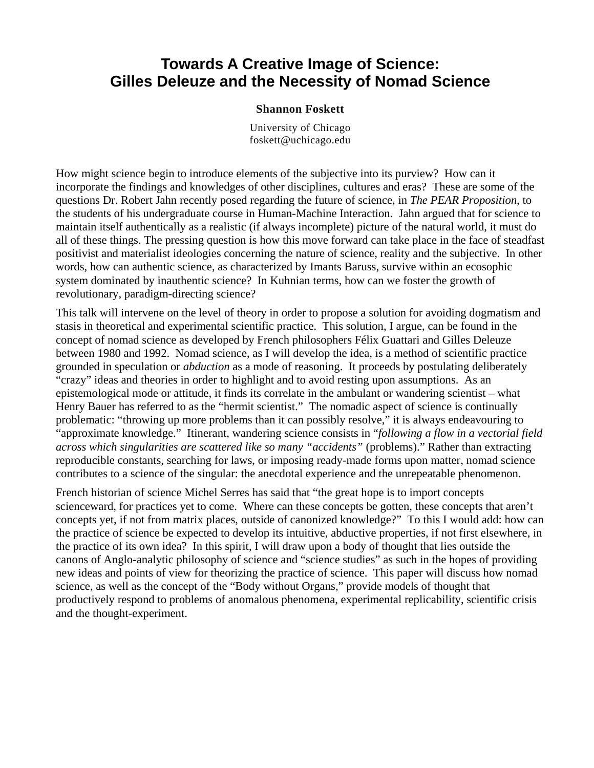### **Towards A Creative Image of Science: Gilles Deleuze and the Necessity of Nomad Science**

#### **Shannon Foskett**

University of Chicago [foskett@uchicago.edu](mailto:foskett@uchicago.edu)

How might science begin to introduce elements of the subjective into its purview? How can it incorporate the findings and knowledges of other disciplines, cultures and eras? These are some of the questions Dr. Robert Jahn recently posed regarding the future of science, in *The PEAR Proposition*, to the students of his undergraduate course in Human-Machine Interaction. Jahn argued that for science to maintain itself authentically as a realistic (if always incomplete) picture of the natural world, it must do all of these things. The pressing question is how this move forward can take place in the face of steadfast positivist and materialist ideologies concerning the nature of science, reality and the subjective. In other words, how can authentic science, as characterized by Imants Baruss, survive within an ecosophic system dominated by inauthentic science? In Kuhnian terms, how can we foster the growth of revolutionary, paradigm-directing science?

This talk will intervene on the level of theory in order to propose a solution for avoiding dogmatism and stasis in theoretical and experimental scientific practice. This solution, I argue, can be found in the concept of nomad science as developed by French philosophers Félix Guattari and Gilles Deleuze between 1980 and 1992. Nomad science, as I will develop the idea, is a method of scientific practice grounded in speculation or *abduction* as a mode of reasoning. It proceeds by postulating deliberately "crazy" ideas and theories in order to highlight and to avoid resting upon assumptions. As an epistemological mode or attitude, it finds its correlate in the ambulant or wandering scientist – what Henry Bauer has referred to as the "hermit scientist." The nomadic aspect of science is continually problematic: "throwing up more problems than it can possibly resolve," it is always endeavouring to "approximate knowledge." Itinerant, wandering science consists in "*following a flow in a vectorial field across which singularities are scattered like so many "accidents"* (problems)." Rather than extracting reproducible constants, searching for laws, or imposing ready-made forms upon matter, nomad science contributes to a science of the singular: the anecdotal experience and the unrepeatable phenomenon.

French historian of science Michel Serres has said that "the great hope is to import concepts scienceward, for practices yet to come. Where can these concepts be gotten, these concepts that aren't concepts yet, if not from matrix places, outside of canonized knowledge?" To this I would add: how can the practice of science be expected to develop its intuitive, abductive properties, if not first elsewhere, in the practice of its own idea? In this spirit, I will draw upon a body of thought that lies outside the canons of Anglo-analytic philosophy of science and "science studies" as such in the hopes of providing new ideas and points of view for theorizing the practice of science. This paper will discuss how nomad science, as well as the concept of the "Body without Organs," provide models of thought that productively respond to problems of anomalous phenomena, experimental replicability, scientific crisis and the thought-experiment.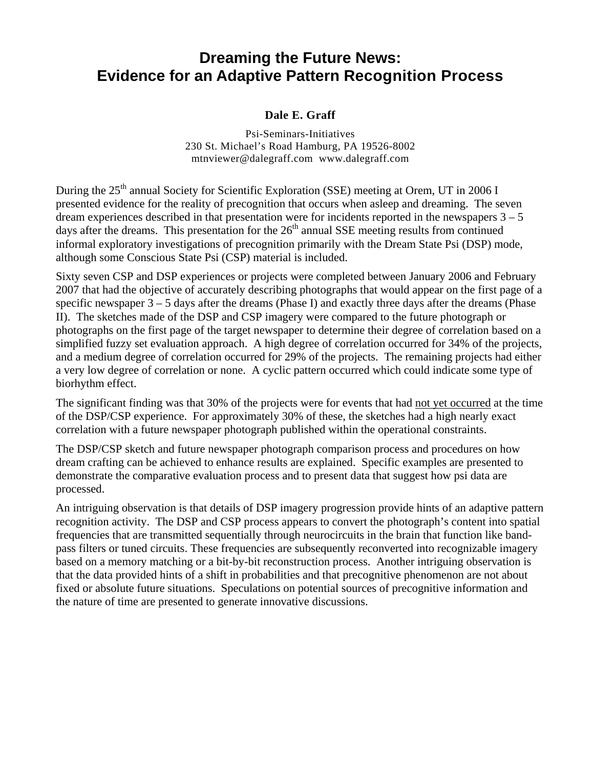# **Dreaming the Future News: Evidence for an Adaptive Pattern Recognition Process**

### **Dale E. Graff**

Psi-Seminars-Initiatives 230 St. Michael's Road Hamburg, PA 19526-8002 [mtnviewer@dalegraff.com](mailto:mtnviewer@dalegraff.com) [www.dalegraff.com](http://www.dalegraff.com/)

During the 25<sup>th</sup> annual Society for Scientific Exploration (SSE) meeting at Orem, UT in 2006 I presented evidence for the reality of precognition that occurs when asleep and dreaming. The seven dream experiences described in that presentation were for incidents reported in the newspapers  $3 - 5$ days after the dreams. This presentation for the  $26<sup>th</sup>$  annual SSE meeting results from continued informal exploratory investigations of precognition primarily with the Dream State Psi (DSP) mode, although some Conscious State Psi (CSP) material is included.

Sixty seven CSP and DSP experiences or projects were completed between January 2006 and February 2007 that had the objective of accurately describing photographs that would appear on the first page of a specific newspaper 3 – 5 days after the dreams (Phase I) and exactly three days after the dreams (Phase II). The sketches made of the DSP and CSP imagery were compared to the future photograph or photographs on the first page of the target newspaper to determine their degree of correlation based on a simplified fuzzy set evaluation approach. A high degree of correlation occurred for 34% of the projects, and a medium degree of correlation occurred for 29% of the projects. The remaining projects had either a very low degree of correlation or none. A cyclic pattern occurred which could indicate some type of biorhythm effect.

The significant finding was that 30% of the projects were for events that had not yet occurred at the time of the DSP/CSP experience. For approximately 30% of these, the sketches had a high nearly exact correlation with a future newspaper photograph published within the operational constraints.

The DSP/CSP sketch and future newspaper photograph comparison process and procedures on how dream crafting can be achieved to enhance results are explained. Specific examples are presented to demonstrate the comparative evaluation process and to present data that suggest how psi data are processed.

An intriguing observation is that details of DSP imagery progression provide hints of an adaptive pattern recognition activity. The DSP and CSP process appears to convert the photograph's content into spatial frequencies that are transmitted sequentially through neurocircuits in the brain that function like bandpass filters or tuned circuits. These frequencies are subsequently reconverted into recognizable imagery based on a memory matching or a bit-by-bit reconstruction process. Another intriguing observation is that the data provided hints of a shift in probabilities and that precognitive phenomenon are not about fixed or absolute future situations. Speculations on potential sources of precognitive information and the nature of time are presented to generate innovative discussions.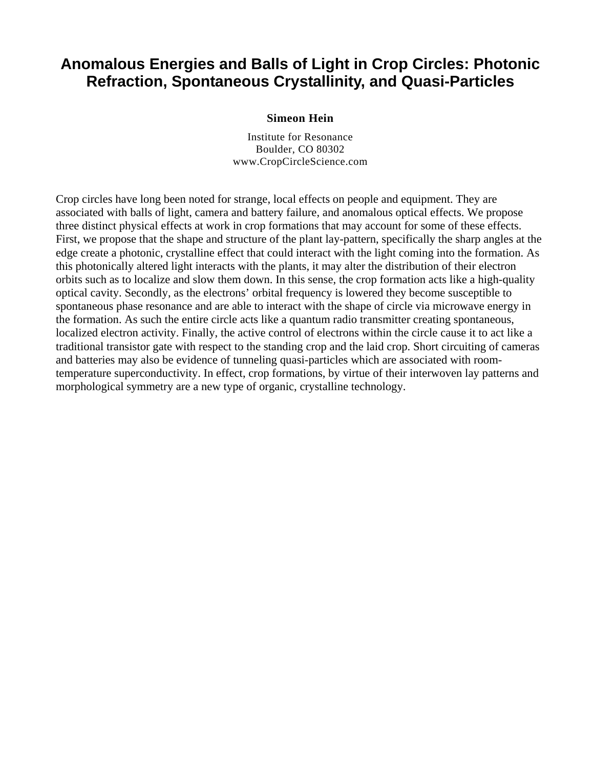# **Anomalous Energies and Balls of Light in Crop Circles: Photonic Refraction, Spontaneous Crystallinity, and Quasi-Particles**

#### **Simeon Hein**

Institute for Resonance Boulder, CO 80302 www.CropCircleScience.com

Crop circles have long been noted for strange, local effects on people and equipment. They are associated with balls of light, camera and battery failure, and anomalous optical effects. We propose three distinct physical effects at work in crop formations that may account for some of these effects. First, we propose that the shape and structure of the plant lay-pattern, specifically the sharp angles at the edge create a photonic, crystalline effect that could interact with the light coming into the formation. As this photonically altered light interacts with the plants, it may alter the distribution of their electron orbits such as to localize and slow them down. In this sense, the crop formation acts like a high-quality optical cavity. Secondly, as the electrons' orbital frequency is lowered they become susceptible to spontaneous phase resonance and are able to interact with the shape of circle via microwave energy in the formation. As such the entire circle acts like a quantum radio transmitter creating spontaneous, localized electron activity. Finally, the active control of electrons within the circle cause it to act like a traditional transistor gate with respect to the standing crop and the laid crop. Short circuiting of cameras and batteries may also be evidence of tunneling quasi-particles which are associated with roomtemperature superconductivity. In effect, crop formations, by virtue of their interwoven lay patterns and morphological symmetry are a new type of organic, crystalline technology.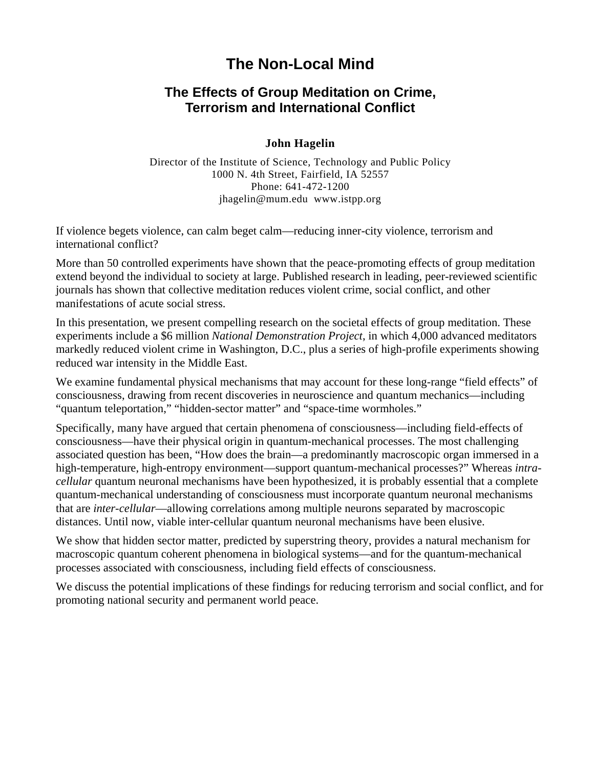# **The Non-Local Mind**

### **The Effects of Group Meditation on Crime, Terrorism and International Conflict**

### **John Hagelin**

Director of the Institute of Science, Technology and Public Policy 1000 N. 4th Street, Fairfield, IA 52557 Phone: 641-472-1200 [jhagelin@mum.edu](mailto:jhagelin@mum.edu) [www.istpp.org](http://www.istpp.org/)

If violence begets violence, can calm beget calm—reducing inner-city violence, terrorism and international conflict?

More than 50 controlled experiments have shown that the peace-promoting effects of group meditation extend beyond the individual to society at large. Published research in leading, peer-reviewed scientific journals has shown that collective meditation reduces violent crime, social conflict, and other manifestations of acute social stress.

In this presentation, we present compelling research on the societal effects of group meditation. These experiments include a \$6 million *National Demonstration Project*, in which 4,000 advanced meditators markedly reduced violent crime in Washington, D.C., plus a series of high-profile experiments showing reduced war intensity in the Middle East.

We examine fundamental physical mechanisms that may account for these long-range "field effects" of consciousness, drawing from recent discoveries in neuroscience and quantum mechanics—including "quantum teleportation," "hidden-sector matter" and "space-time wormholes."

Specifically, many have argued that certain phenomena of consciousness—including field-effects of consciousness—have their physical origin in quantum-mechanical processes. The most challenging associated question has been, "How does the brain—a predominantly macroscopic organ immersed in a high-temperature, high-entropy environment—support quantum-mechanical processes?" Whereas *intracellular* quantum neuronal mechanisms have been hypothesized, it is probably essential that a complete quantum-mechanical understanding of consciousness must incorporate quantum neuronal mechanisms that are *inter-cellular*—allowing correlations among multiple neurons separated by macroscopic distances. Until now, viable inter-cellular quantum neuronal mechanisms have been elusive.

We show that hidden sector matter, predicted by superstring theory, provides a natural mechanism for macroscopic quantum coherent phenomena in biological systems—and for the quantum-mechanical processes associated with consciousness, including field effects of consciousness.

We discuss the potential implications of these findings for reducing terrorism and social conflict, and for promoting national security and permanent world peace.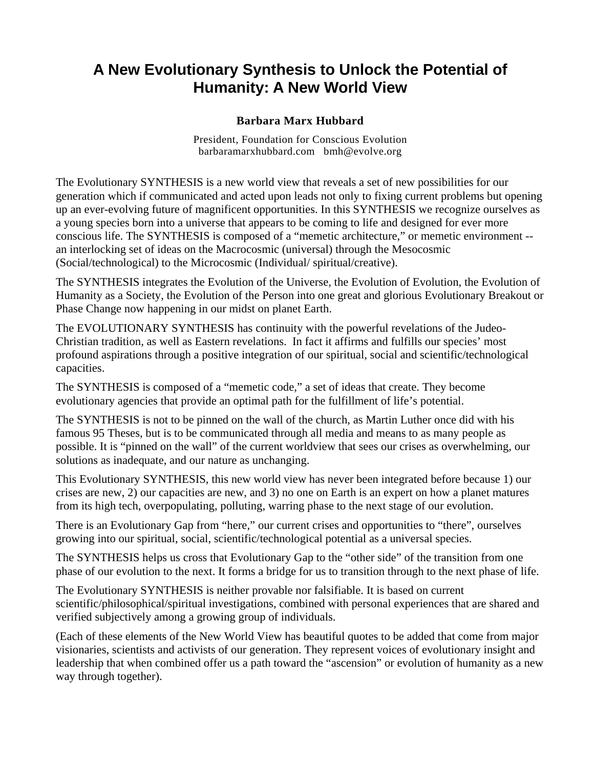# **A New Evolutionary Synthesis to Unlock the Potential of Humanity: A New World View**

### **Barbara Marx Hubbard**

President, Foundation for Conscious Evolution barbaramarxhubbard.com [bmh@evolve.org](mailto:bmh@evolve.org)

The Evolutionary SYNTHESIS is a new world view that reveals a set of new possibilities for our generation which if communicated and acted upon leads not only to fixing current problems but opening up an ever-evolving future of magnificent opportunities. In this SYNTHESIS we recognize ourselves as a young species born into a universe that appears to be coming to life and designed for ever more conscious life. The SYNTHESIS is composed of a "memetic architecture," or memetic environment - an interlocking set of ideas on the Macrocosmic (universal) through the Mesocosmic (Social/technological) to the Microcosmic (Individual/ spiritual/creative).

The SYNTHESIS integrates the Evolution of the Universe, the Evolution of Evolution, the Evolution of Humanity as a Society, the Evolution of the Person into one great and glorious Evolutionary Breakout or Phase Change now happening in our midst on planet Earth.

The EVOLUTIONARY SYNTHESIS has continuity with the powerful revelations of the Judeo-Christian tradition, as well as Eastern revelations. In fact it affirms and fulfills our species' most profound aspirations through a positive integration of our spiritual, social and scientific/technological capacities.

The SYNTHESIS is composed of a "memetic code," a set of ideas that create. They become evolutionary agencies that provide an optimal path for the fulfillment of life's potential.

The SYNTHESIS is not to be pinned on the wall of the church, as Martin Luther once did with his famous 95 Theses, but is to be communicated through all media and means to as many people as possible. It is "pinned on the wall" of the current worldview that sees our crises as overwhelming, our solutions as inadequate, and our nature as unchanging.

This Evolutionary SYNTHESIS, this new world view has never been integrated before because 1) our crises are new, 2) our capacities are new, and 3) no one on Earth is an expert on how a planet matures from its high tech, overpopulating, polluting, warring phase to the next stage of our evolution.

There is an Evolutionary Gap from "here," our current crises and opportunities to "there", ourselves growing into our spiritual, social, scientific/technological potential as a universal species.

The SYNTHESIS helps us cross that Evolutionary Gap to the "other side" of the transition from one phase of our evolution to the next. It forms a bridge for us to transition through to the next phase of life.

The Evolutionary SYNTHESIS is neither provable nor falsifiable. It is based on current scientific/philosophical/spiritual investigations, combined with personal experiences that are shared and verified subjectively among a growing group of individuals.

(Each of these elements of the New World View has beautiful quotes to be added that come from major visionaries, scientists and activists of our generation. They represent voices of evolutionary insight and leadership that when combined offer us a path toward the "ascension" or evolution of humanity as a new way through together).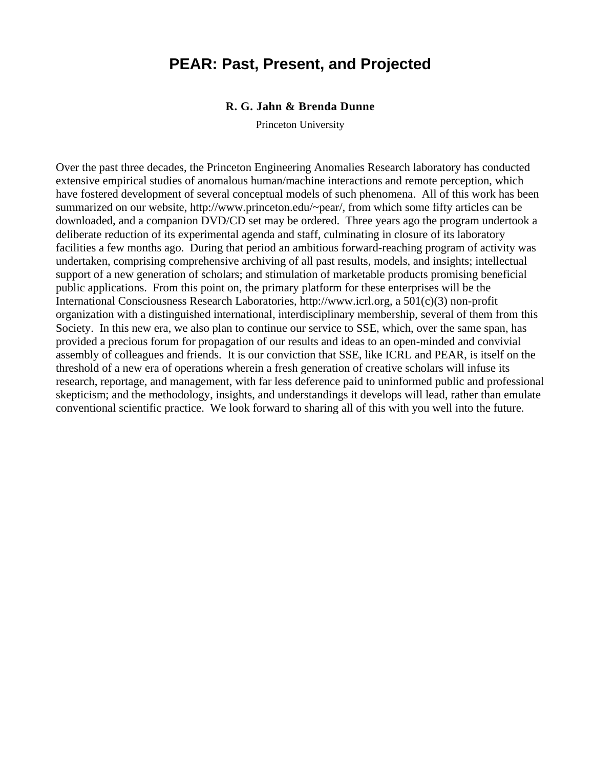### **PEAR: Past, Present, and Projected**

#### **R. G. Jahn & Brenda Dunne**

Princeton University

Over the past three decades, the Princeton Engineering Anomalies Research laboratory has conducted extensive empirical studies of anomalous human/machine interactions and remote perception, which have fostered development of several conceptual models of such phenomena. All of this work has been summarized on our website, [http://www.princeton.edu/~pear/,](http://www.princeton.edu/%7Epear/) from which some fifty articles can be downloaded, and a companion DVD/CD set may be ordered. Three years ago the program undertook a deliberate reduction of its experimental agenda and staff, culminating in closure of its laboratory facilities a few months ago. During that period an ambitious forward-reaching program of activity was undertaken, comprising comprehensive archiving of all past results, models, and insights; intellectual support of a new generation of scholars; and stimulation of marketable products promising beneficial public applications. From this point on, the primary platform for these enterprises will be the International Consciousness Research Laboratories, [http://www.icrl.org,](http://www.icrl.org/) a 501(c)(3) non-profit organization with a distinguished international, interdisciplinary membership, several of them from this Society. In this new era, we also plan to continue our service to SSE, which, over the same span, has provided a precious forum for propagation of our results and ideas to an open-minded and convivial assembly of colleagues and friends. It is our conviction that SSE, like ICRL and PEAR, is itself on the threshold of a new era of operations wherein a fresh generation of creative scholars will infuse its research, reportage, and management, with far less deference paid to uninformed public and professional skepticism; and the methodology, insights, and understandings it develops will lead, rather than emulate conventional scientific practice. We look forward to sharing all of this with you well into the future.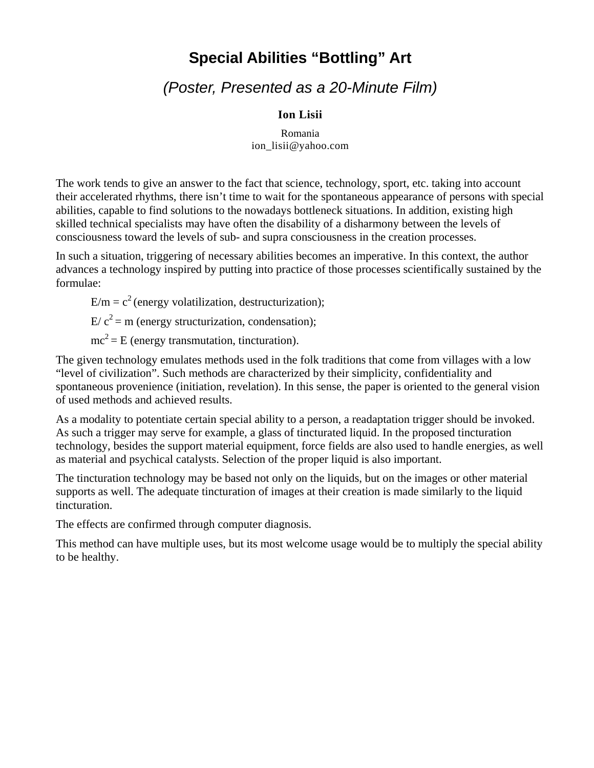# **Special Abilities "Bottling" Art**

# *(Poster, Presented as a 20-Minute Film)*

### **Ion Lisii**

Romania [ion\\_lisii@yahoo.com](mailto:ion_lisii@yahoo.com)

The work tends to give an answer to the fact that science, technology, sport, etc. taking into account their accelerated rhythms, there isn't time to wait for the spontaneous appearance of persons with special abilities, capable to find solutions to the nowadays bottleneck situations. In addition, existing high skilled technical specialists may have often the disability of a disharmony between the levels of consciousness toward the levels of sub- and supra consciousness in the creation processes.

In such a situation, triggering of necessary abilities becomes an imperative. In this context, the author advances a technology inspired by putting into practice of those processes scientifically sustained by the formulae:

 $E/m = c<sup>2</sup>$  (energy volatilization, destructurization);

 $E/c^2 = m$  (energy structurization, condensation);

 $mc<sup>2</sup> = E$  (energy transmutation, tincturation).

The given technology emulates methods used in the folk traditions that come from villages with a low "level of civilization". Such methods are characterized by their simplicity, confidentiality and spontaneous provenience (initiation, revelation). In this sense, the paper is oriented to the general vision of used methods and achieved results.

As a modality to potentiate certain special ability to a person, a readaptation trigger should be invoked. As such a trigger may serve for example, a glass of tincturated liquid. In the proposed tincturation technology, besides the support material equipment, force fields are also used to handle energies, as well as material and psychical catalysts. Selection of the proper liquid is also important.

The tincturation technology may be based not only on the liquids, but on the images or other material supports as well. The adequate tincturation of images at their creation is made similarly to the liquid tincturation.

The effects are confirmed through computer diagnosis.

This method can have multiple uses, but its most welcome usage would be to multiply the special ability to be healthy.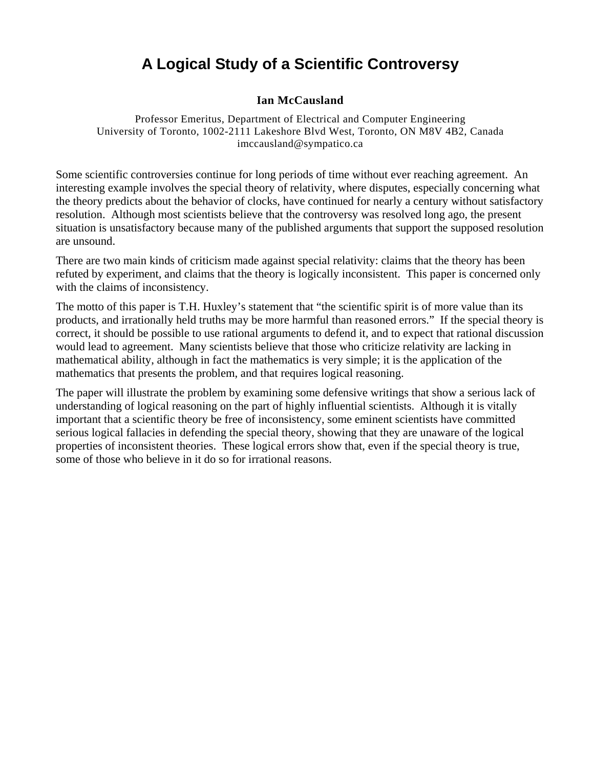# **A Logical Study of a Scientific Controversy**

### **Ian McCausland**

Professor Emeritus, Department of Electrical and Computer Engineering University of Toronto, 1002-2111 Lakeshore Blvd West, Toronto, ON M8V 4B2, Canada [imccausland@sympatico.ca](mailto:imccausland@sympatico.ca)

Some scientific controversies continue for long periods of time without ever reaching agreement. An interesting example involves the special theory of relativity, where disputes, especially concerning what the theory predicts about the behavior of clocks, have continued for nearly a century without satisfactory resolution. Although most scientists believe that the controversy was resolved long ago, the present situation is unsatisfactory because many of the published arguments that support the supposed resolution are unsound.

There are two main kinds of criticism made against special relativity: claims that the theory has been refuted by experiment, and claims that the theory is logically inconsistent. This paper is concerned only with the claims of inconsistency.

The motto of this paper is T.H. Huxley's statement that "the scientific spirit is of more value than its products, and irrationally held truths may be more harmful than reasoned errors." If the special theory is correct, it should be possible to use rational arguments to defend it, and to expect that rational discussion would lead to agreement. Many scientists believe that those who criticize relativity are lacking in mathematical ability, although in fact the mathematics is very simple; it is the application of the mathematics that presents the problem, and that requires logical reasoning.

The paper will illustrate the problem by examining some defensive writings that show a serious lack of understanding of logical reasoning on the part of highly influential scientists. Although it is vitally important that a scientific theory be free of inconsistency, some eminent scientists have committed serious logical fallacies in defending the special theory, showing that they are unaware of the logical properties of inconsistent theories. These logical errors show that, even if the special theory is true, some of those who believe in it do so for irrational reasons.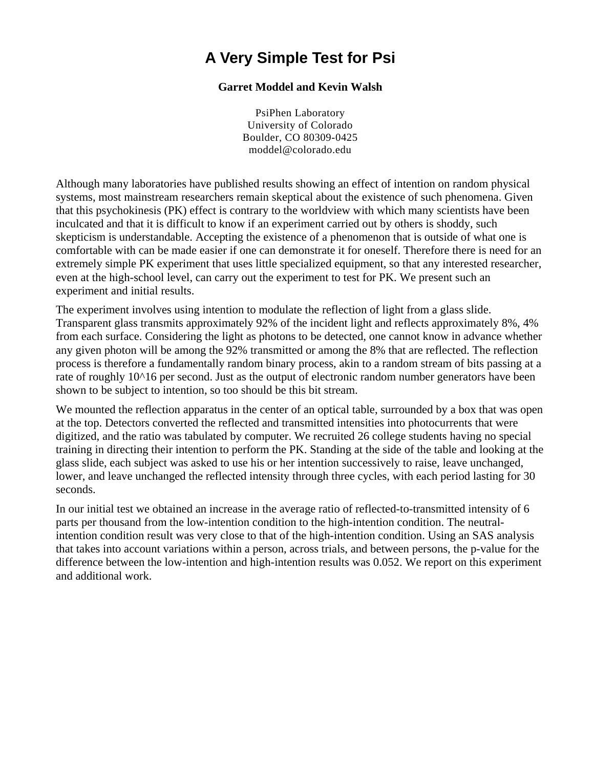# **A Very Simple Test for Psi**

### **Garret Moddel and Kevin Walsh**

PsiPhen Laboratory University of Colorado Boulder, CO 80309-0425 moddel@colorado.edu

Although many laboratories have published results showing an effect of intention on random physical systems, most mainstream researchers remain skeptical about the existence of such phenomena. Given that this psychokinesis (PK) effect is contrary to the worldview with which many scientists have been inculcated and that it is difficult to know if an experiment carried out by others is shoddy, such skepticism is understandable. Accepting the existence of a phenomenon that is outside of what one is comfortable with can be made easier if one can demonstrate it for oneself. Therefore there is need for an extremely simple PK experiment that uses little specialized equipment, so that any interested researcher, even at the high-school level, can carry out the experiment to test for PK. We present such an experiment and initial results.

The experiment involves using intention to modulate the reflection of light from a glass slide. Transparent glass transmits approximately 92% of the incident light and reflects approximately 8%, 4% from each surface. Considering the light as photons to be detected, one cannot know in advance whether any given photon will be among the 92% transmitted or among the 8% that are reflected. The reflection process is therefore a fundamentally random binary process, akin to a random stream of bits passing at a rate of roughly 10^16 per second. Just as the output of electronic random number generators have been shown to be subject to intention, so too should be this bit stream.

We mounted the reflection apparatus in the center of an optical table, surrounded by a box that was open at the top. Detectors converted the reflected and transmitted intensities into photocurrents that were digitized, and the ratio was tabulated by computer. We recruited 26 college students having no special training in directing their intention to perform the PK. Standing at the side of the table and looking at the glass slide, each subject was asked to use his or her intention successively to raise, leave unchanged, lower, and leave unchanged the reflected intensity through three cycles, with each period lasting for 30 seconds.

In our initial test we obtained an increase in the average ratio of reflected-to-transmitted intensity of 6 parts per thousand from the low-intention condition to the high-intention condition. The neutralintention condition result was very close to that of the high-intention condition. Using an SAS analysis that takes into account variations within a person, across trials, and between persons, the p-value for the difference between the low-intention and high-intention results was 0.052. We report on this experiment and additional work.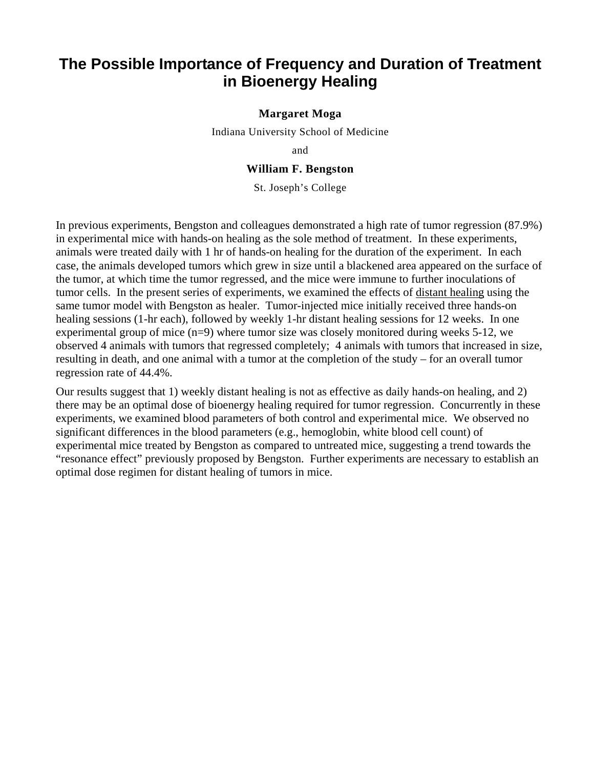# **The Possible Importance of Frequency and Duration of Treatment in Bioenergy Healing**

#### **Margaret Moga**

Indiana University School of Medicine

and

#### **William F. Bengston**

St. Joseph's College

In previous experiments, Bengston and colleagues demonstrated a high rate of tumor regression (87.9%) in experimental mice with hands-on healing as the sole method of treatment. In these experiments, animals were treated daily with 1 hr of hands-on healing for the duration of the experiment. In each case, the animals developed tumors which grew in size until a blackened area appeared on the surface of the tumor, at which time the tumor regressed, and the mice were immune to further inoculations of tumor cells. In the present series of experiments, we examined the effects of distant healing using the same tumor model with Bengston as healer. Tumor-injected mice initially received three hands-on healing sessions (1-hr each), followed by weekly 1-hr distant healing sessions for 12 weeks. In one experimental group of mice  $(n=9)$  where tumor size was closely monitored during weeks 5-12, we observed 4 animals with tumors that regressed completely; 4 animals with tumors that increased in size, resulting in death, and one animal with a tumor at the completion of the study – for an overall tumor regression rate of 44.4%.

Our results suggest that 1) weekly distant healing is not as effective as daily hands-on healing, and 2) there may be an optimal dose of bioenergy healing required for tumor regression. Concurrently in these experiments, we examined blood parameters of both control and experimental mice. We observed no significant differences in the blood parameters (e.g., hemoglobin, white blood cell count) of experimental mice treated by Bengston as compared to untreated mice, suggesting a trend towards the "resonance effect" previously proposed by Bengston. Further experiments are necessary to establish an optimal dose regimen for distant healing of tumors in mice.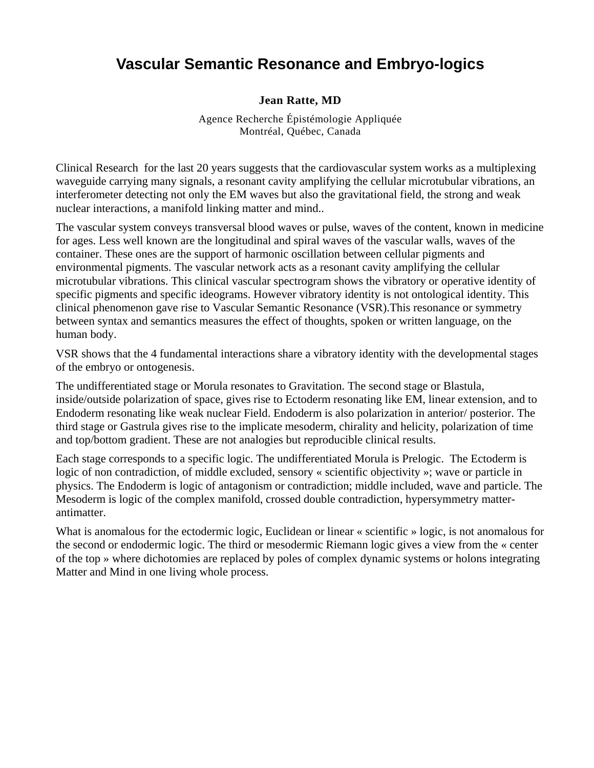# **Vascular Semantic Resonance and Embryo-logics**

### **Jean Ratte, MD**

Agence Recherche Épistémologie Appliquée Montréal, Québec, Canada

Clinical Research for the last 20 years suggests that the cardiovascular system works as a multiplexing waveguide carrying many signals, a resonant cavity amplifying the cellular microtubular vibrations, an interferometer detecting not only the EM waves but also the gravitational field, the strong and weak nuclear interactions, a manifold linking matter and mind..

The vascular system conveys transversal blood waves or pulse, waves of the content, known in medicine for ages. Less well known are the longitudinal and spiral waves of the vascular walls, waves of the container. These ones are the support of harmonic oscillation between cellular pigments and environmental pigments. The vascular network acts as a resonant cavity amplifying the cellular microtubular vibrations. This clinical vascular spectrogram shows the vibratory or operative identity of specific pigments and specific ideograms. However vibratory identity is not ontological identity. This clinical phenomenon gave rise to Vascular Semantic Resonance (VSR).This resonance or symmetry between syntax and semantics measures the effect of thoughts, spoken or written language, on the human body.

VSR shows that the 4 fundamental interactions share a vibratory identity with the developmental stages of the embryo or ontogenesis.

The undifferentiated stage or Morula resonates to Gravitation. The second stage or Blastula, inside/outside polarization of space, gives rise to Ectoderm resonating like EM, linear extension, and to Endoderm resonating like weak nuclear Field. Endoderm is also polarization in anterior/ posterior. The third stage or Gastrula gives rise to the implicate mesoderm, chirality and helicity, polarization of time and top/bottom gradient. These are not analogies but reproducible clinical results.

Each stage corresponds to a specific logic. The undifferentiated Morula is Prelogic. The Ectoderm is logic of non contradiction, of middle excluded, sensory « scientific objectivity »; wave or particle in physics. The Endoderm is logic of antagonism or contradiction; middle included, wave and particle. The Mesoderm is logic of the complex manifold, crossed double contradiction, hypersymmetry matterantimatter.

What is anomalous for the ectodermic logic, Euclidean or linear « scientific » logic, is not anomalous for the second or endodermic logic. The third or mesodermic Riemann logic gives a view from the « center of the top » where dichotomies are replaced by poles of complex dynamic systems or holons integrating Matter and Mind in one living whole process.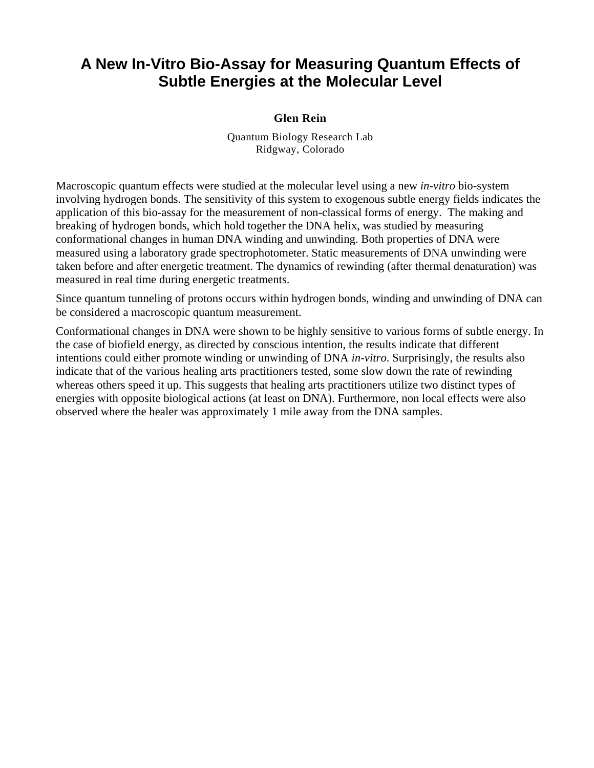# **A New In-Vitro Bio-Assay for Measuring Quantum Effects of Subtle Energies at the Molecular Level**

### **Glen Rein**

Quantum Biology Research Lab Ridgway, Colorado

Macroscopic quantum effects were studied at the molecular level using a new *in-vitro* bio-system involving hydrogen bonds. The sensitivity of this system to exogenous subtle energy fields indicates the application of this bio-assay for the measurement of non-classical forms of energy. The making and breaking of hydrogen bonds, which hold together the DNA helix, was studied by measuring conformational changes in human DNA winding and unwinding. Both properties of DNA were measured using a laboratory grade spectrophotometer. Static measurements of DNA unwinding were taken before and after energetic treatment. The dynamics of rewinding (after thermal denaturation) was measured in real time during energetic treatments.

Since quantum tunneling of protons occurs within hydrogen bonds, winding and unwinding of DNA can be considered a macroscopic quantum measurement.

Conformational changes in DNA were shown to be highly sensitive to various forms of subtle energy. In the case of biofield energy, as directed by conscious intention, the results indicate that different intentions could either promote winding or unwinding of DNA *in-vitro*. Surprisingly, the results also indicate that of the various healing arts practitioners tested, some slow down the rate of rewinding whereas others speed it up. This suggests that healing arts practitioners utilize two distinct types of energies with opposite biological actions (at least on DNA). Furthermore, non local effects were also observed where the healer was approximately 1 mile away from the DNA samples.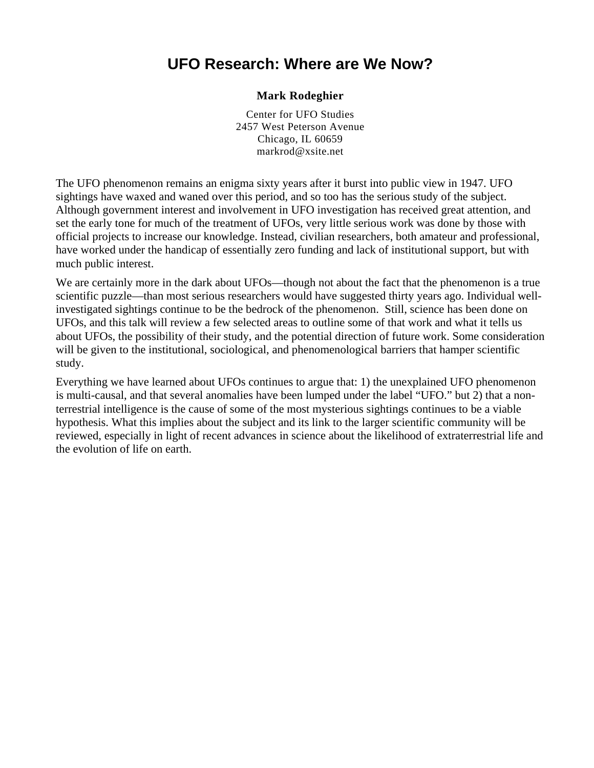# **UFO Research: Where are We Now?**

### **Mark Rodeghier**

Center for UFO Studies 2457 West Peterson Avenue Chicago, IL 60659 markrod@xsite.net

The UFO phenomenon remains an enigma sixty years after it burst into public view in 1947. UFO sightings have waxed and waned over this period, and so too has the serious study of the subject. Although government interest and involvement in UFO investigation has received great attention, and set the early tone for much of the treatment of UFOs, very little serious work was done by those with official projects to increase our knowledge. Instead, civilian researchers, both amateur and professional, have worked under the handicap of essentially zero funding and lack of institutional support, but with much public interest.

We are certainly more in the dark about UFOs—though not about the fact that the phenomenon is a true scientific puzzle—than most serious researchers would have suggested thirty years ago. Individual wellinvestigated sightings continue to be the bedrock of the phenomenon. Still, science has been done on UFOs, and this talk will review a few selected areas to outline some of that work and what it tells us about UFOs, the possibility of their study, and the potential direction of future work. Some consideration will be given to the institutional, sociological, and phenomenological barriers that hamper scientific study.

Everything we have learned about UFOs continues to argue that: 1) the unexplained UFO phenomenon is multi-causal, and that several anomalies have been lumped under the label "UFO." but 2) that a nonterrestrial intelligence is the cause of some of the most mysterious sightings continues to be a viable hypothesis. What this implies about the subject and its link to the larger scientific community will be reviewed, especially in light of recent advances in science about the likelihood of extraterrestrial life and the evolution of life on earth.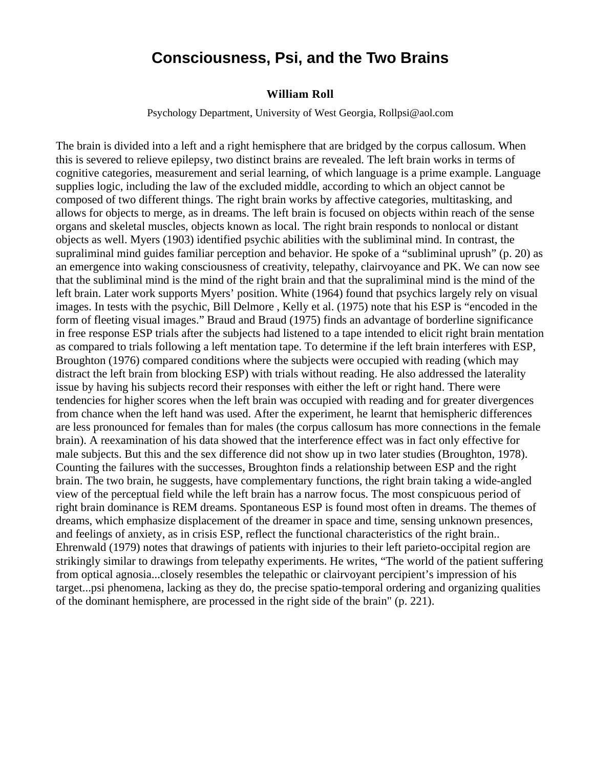### **Consciousness, Psi, and the Two Brains**

#### **William Roll**

Psychology Department, University of West Georgia, Rollpsi@aol.com

The brain is divided into a left and a right hemisphere that are bridged by the corpus callosum. When this is severed to relieve epilepsy, two distinct brains are revealed. The left brain works in terms of cognitive categories, measurement and serial learning, of which language is a prime example. Language supplies logic, including the law of the excluded middle, according to which an object cannot be composed of two different things. The right brain works by affective categories, multitasking, and allows for objects to merge, as in dreams. The left brain is focused on objects within reach of the sense organs and skeletal muscles, objects known as local. The right brain responds to nonlocal or distant objects as well. Myers (1903) identified psychic abilities with the subliminal mind. In contrast, the supraliminal mind guides familiar perception and behavior. He spoke of a "subliminal uprush" (p. 20) as an emergence into waking consciousness of creativity, telepathy, clairvoyance and PK. We can now see that the subliminal mind is the mind of the right brain and that the supraliminal mind is the mind of the left brain. Later work supports Myers' position. White (1964) found that psychics largely rely on visual images. In tests with the psychic, Bill Delmore , Kelly et al. (1975) note that his ESP is "encoded in the form of fleeting visual images." Braud and Braud (1975) finds an advantage of borderline significance in free response ESP trials after the subjects had listened to a tape intended to elicit right brain mentation as compared to trials following a left mentation tape. To determine if the left brain interferes with ESP, Broughton (1976) compared conditions where the subjects were occupied with reading (which may distract the left brain from blocking ESP) with trials without reading. He also addressed the laterality issue by having his subjects record their responses with either the left or right hand. There were tendencies for higher scores when the left brain was occupied with reading and for greater divergences from chance when the left hand was used. After the experiment, he learnt that hemispheric differences are less pronounced for females than for males (the corpus callosum has more connections in the female brain). A reexamination of his data showed that the interference effect was in fact only effective for male subjects. But this and the sex difference did not show up in two later studies (Broughton, 1978). Counting the failures with the successes, Broughton finds a relationship between ESP and the right brain. The two brain, he suggests, have complementary functions, the right brain taking a wide-angled view of the perceptual field while the left brain has a narrow focus. The most conspicuous period of right brain dominance is REM dreams. Spontaneous ESP is found most often in dreams. The themes of dreams, which emphasize displacement of the dreamer in space and time, sensing unknown presences, and feelings of anxiety, as in crisis ESP, reflect the functional characteristics of the right brain.. Ehrenwald (1979) notes that drawings of patients with injuries to their left parieto-occipital region are strikingly similar to drawings from telepathy experiments. He writes, "The world of the patient suffering from optical agnosia...closely resembles the telepathic or clairvoyant percipient's impression of his target...psi phenomena, lacking as they do, the precise spatio-temporal ordering and organizing qualities of the dominant hemisphere, are processed in the right side of the brain" (p. 221).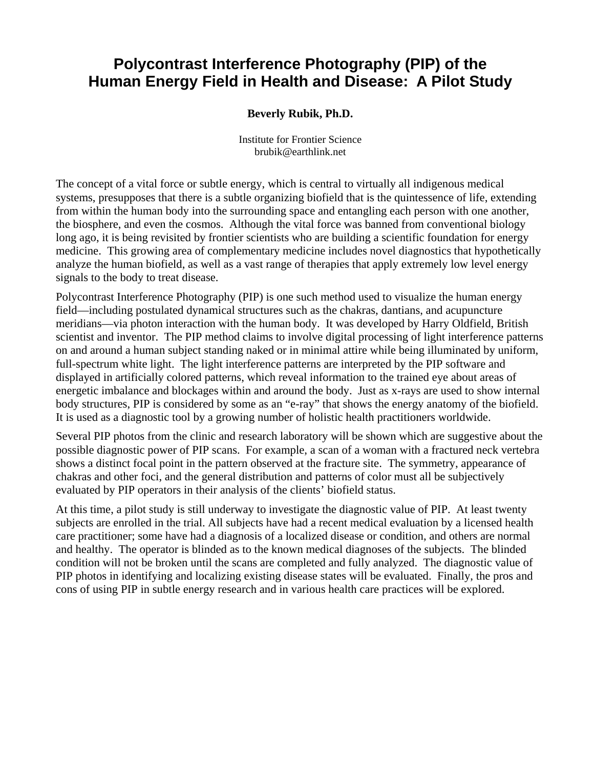# **Polycontrast Interference Photography (PIP) of the Human Energy Field in Health and Disease: A Pilot Study**

### **Beverly Rubik, Ph.D.**

Institute for Frontier Science brubik@earthlink.net

The concept of a vital force or subtle energy, which is central to virtually all indigenous medical systems, presupposes that there is a subtle organizing biofield that is the quintessence of life, extending from within the human body into the surrounding space and entangling each person with one another, the biosphere, and even the cosmos. Although the vital force was banned from conventional biology long ago, it is being revisited by frontier scientists who are building a scientific foundation for energy medicine. This growing area of complementary medicine includes novel diagnostics that hypothetically analyze the human biofield, as well as a vast range of therapies that apply extremely low level energy signals to the body to treat disease.

Polycontrast Interference Photography (PIP) is one such method used to visualize the human energy field—including postulated dynamical structures such as the chakras, dantians, and acupuncture meridians—via photon interaction with the human body. It was developed by Harry Oldfield, British scientist and inventor. The PIP method claims to involve digital processing of light interference patterns on and around a human subject standing naked or in minimal attire while being illuminated by uniform, full-spectrum white light. The light interference patterns are interpreted by the PIP software and displayed in artificially colored patterns, which reveal information to the trained eye about areas of energetic imbalance and blockages within and around the body. Just as x-rays are used to show internal body structures, PIP is considered by some as an "e-ray" that shows the energy anatomy of the biofield. It is used as a diagnostic tool by a growing number of holistic health practitioners worldwide.

Several PIP photos from the clinic and research laboratory will be shown which are suggestive about the possible diagnostic power of PIP scans. For example, a scan of a woman with a fractured neck vertebra shows a distinct focal point in the pattern observed at the fracture site. The symmetry, appearance of chakras and other foci, and the general distribution and patterns of color must all be subjectively evaluated by PIP operators in their analysis of the clients' biofield status.

At this time, a pilot study is still underway to investigate the diagnostic value of PIP. At least twenty subjects are enrolled in the trial. All subjects have had a recent medical evaluation by a licensed health care practitioner; some have had a diagnosis of a localized disease or condition, and others are normal and healthy. The operator is blinded as to the known medical diagnoses of the subjects. The blinded condition will not be broken until the scans are completed and fully analyzed. The diagnostic value of PIP photos in identifying and localizing existing disease states will be evaluated. Finally, the pros and cons of using PIP in subtle energy research and in various health care practices will be explored.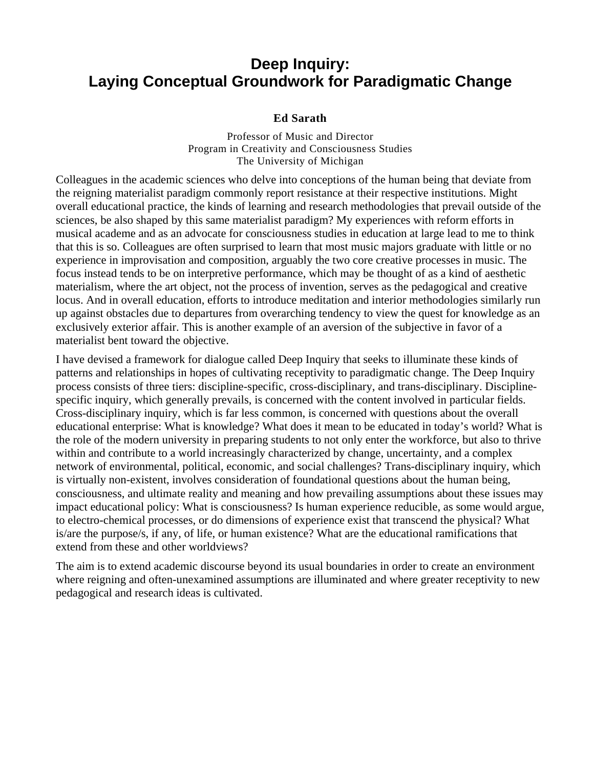# **Deep Inquiry: Laying Conceptual Groundwork for Paradigmatic Change**

### **Ed Sarath**

Professor of Music and Director Program in Creativity and Consciousness Studies The University of Michigan

Colleagues in the academic sciences who delve into conceptions of the human being that deviate from the reigning materialist paradigm commonly report resistance at their respective institutions. Might overall educational practice, the kinds of learning and research methodologies that prevail outside of the sciences, be also shaped by this same materialist paradigm? My experiences with reform efforts in musical academe and as an advocate for consciousness studies in education at large lead to me to think that this is so. Colleagues are often surprised to learn that most music majors graduate with little or no experience in improvisation and composition, arguably the two core creative processes in music. The focus instead tends to be on interpretive performance, which may be thought of as a kind of aesthetic materialism, where the art object, not the process of invention, serves as the pedagogical and creative locus. And in overall education, efforts to introduce meditation and interior methodologies similarly run up against obstacles due to departures from overarching tendency to view the quest for knowledge as an exclusively exterior affair. This is another example of an aversion of the subjective in favor of a materialist bent toward the objective.

I have devised a framework for dialogue called Deep Inquiry that seeks to illuminate these kinds of patterns and relationships in hopes of cultivating receptivity to paradigmatic change. The Deep Inquiry process consists of three tiers: discipline-specific, cross-disciplinary, and trans-disciplinary. Disciplinespecific inquiry, which generally prevails, is concerned with the content involved in particular fields. Cross-disciplinary inquiry, which is far less common, is concerned with questions about the overall educational enterprise: What is knowledge? What does it mean to be educated in today's world? What is the role of the modern university in preparing students to not only enter the workforce, but also to thrive within and contribute to a world increasingly characterized by change, uncertainty, and a complex network of environmental, political, economic, and social challenges? Trans-disciplinary inquiry, which is virtually non-existent, involves consideration of foundational questions about the human being, consciousness, and ultimate reality and meaning and how prevailing assumptions about these issues may impact educational policy: What is consciousness? Is human experience reducible, as some would argue, to electro-chemical processes, or do dimensions of experience exist that transcend the physical? What is/are the purpose/s, if any, of life, or human existence? What are the educational ramifications that extend from these and other worldviews?

The aim is to extend academic discourse beyond its usual boundaries in order to create an environment where reigning and often-unexamined assumptions are illuminated and where greater receptivity to new pedagogical and research ideas is cultivated.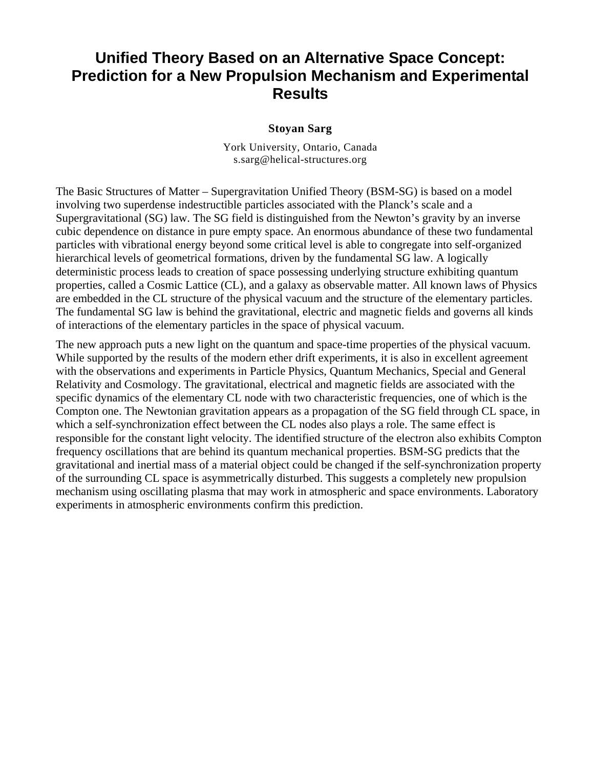# **Unified Theory Based on an Alternative Space Concept: Prediction for a New Propulsion Mechanism and Experimental Results**

#### **Stoyan Sarg**

York University, Ontario, Canada s.sarg@helical-structures.org

The Basic Structures of Matter – Supergravitation Unified Theory (BSM-SG) is based on a model involving two superdense indestructible particles associated with the Planck's scale and a Supergravitational (SG) law. The SG field is distinguished from the Newton's gravity by an inverse cubic dependence on distance in pure empty space. An enormous abundance of these two fundamental particles with vibrational energy beyond some critical level is able to congregate into self-organized hierarchical levels of geometrical formations, driven by the fundamental SG law. A logically deterministic process leads to creation of space possessing underlying structure exhibiting quantum properties, called a Cosmic Lattice (CL), and a galaxy as observable matter. All known laws of Physics are embedded in the CL structure of the physical vacuum and the structure of the elementary particles. The fundamental SG law is behind the gravitational, electric and magnetic fields and governs all kinds of interactions of the elementary particles in the space of physical vacuum.

The new approach puts a new light on the quantum and space-time properties of the physical vacuum. While supported by the results of the modern ether drift experiments, it is also in excellent agreement with the observations and experiments in Particle Physics, Quantum Mechanics, Special and General Relativity and Cosmology. The gravitational, electrical and magnetic fields are associated with the specific dynamics of the elementary CL node with two characteristic frequencies, one of which is the Compton one. The Newtonian gravitation appears as a propagation of the SG field through CL space, in which a self-synchronization effect between the CL nodes also plays a role. The same effect is responsible for the constant light velocity. The identified structure of the electron also exhibits Compton frequency oscillations that are behind its quantum mechanical properties. BSM-SG predicts that the gravitational and inertial mass of a material object could be changed if the self-synchronization property of the surrounding CL space is asymmetrically disturbed. This suggests a completely new propulsion mechanism using oscillating plasma that may work in atmospheric and space environments. Laboratory experiments in atmospheric environments confirm this prediction.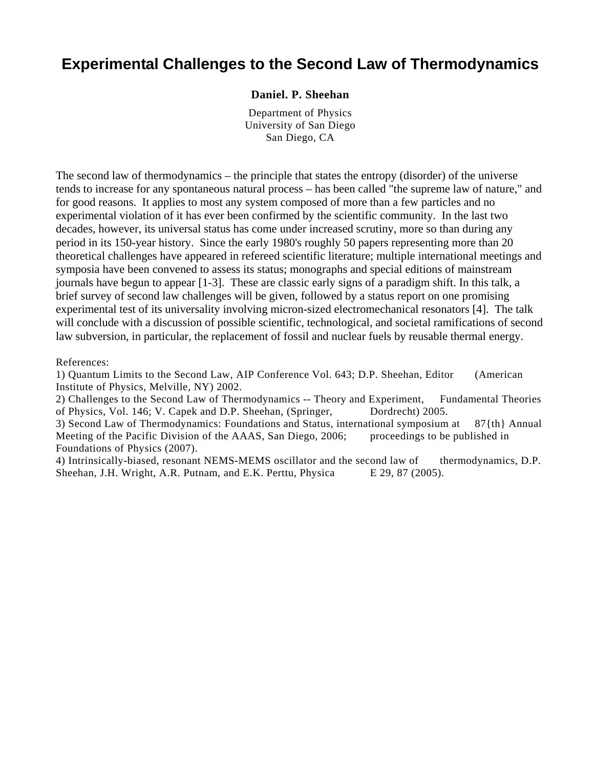### **Experimental Challenges to the Second Law of Thermodynamics**

#### **Daniel. P. Sheehan**

Department of Physics University of San Diego San Diego, CA

The second law of thermodynamics – the principle that states the entropy (disorder) of the universe tends to increase for any spontaneous natural process – has been called "the supreme law of nature," and for good reasons. It applies to most any system composed of more than a few particles and no experimental violation of it has ever been confirmed by the scientific community. In the last two decades, however, its universal status has come under increased scrutiny, more so than during any period in its 150-year history. Since the early 1980's roughly 50 papers representing more than 20 theoretical challenges have appeared in refereed scientific literature; multiple international meetings and symposia have been convened to assess its status; monographs and special editions of mainstream journals have begun to appear [1-3]. These are classic early signs of a paradigm shift. In this talk, a brief survey of second law challenges will be given, followed by a status report on one promising experimental test of its universality involving micron-sized electromechanical resonators [4]. The talk will conclude with a discussion of possible scientific, technological, and societal ramifications of second law subversion, in particular, the replacement of fossil and nuclear fuels by reusable thermal energy.

References:

1) Quantum Limits to the Second Law, AIP Conference Vol. 643; D.P. Sheehan, Editor (American Institute of Physics, Melville, NY) 2002.

2) Challenges to the Second Law of Thermodynamics -- Theory and Experiment, Fundamental Theories of Physics, Vol. 146; V. Capek and D.P. Sheehan, (Springer, Dordrecht) 2005.

3) Second Law of Thermodynamics: Foundations and Status, international symposium at 87{th} Annual Meeting of the Pacific Division of the AAAS, San Diego, 2006; proceedings to be published in Foundations of Physics (2007).

4) Intrinsically-biased, resonant NEMS-MEMS oscillator and the second law of thermodynamics, D.P. Sheehan, J.H. Wright, A.R. Putnam, and E.K. Perttu, Physica E 29, 87 (2005).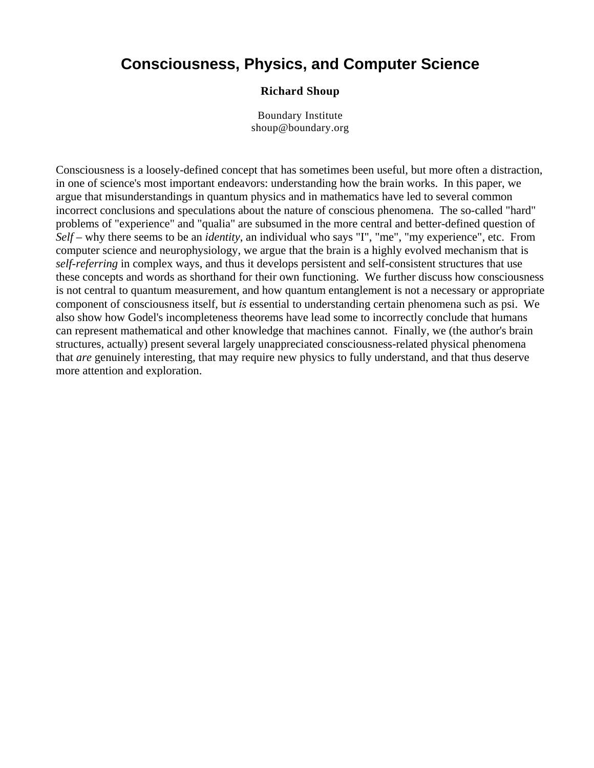# **Consciousness, Physics, and Computer Science**

### **Richard Shoup**

Boundary Institute [shoup@boundary.org](mailto:shoup@boundary.org) 

Consciousness is a loosely-defined concept that has sometimes been useful, but more often a distraction, in one of science's most important endeavors: understanding how the brain works. In this paper, we argue that misunderstandings in quantum physics and in mathematics have led to several common incorrect conclusions and speculations about the nature of conscious phenomena. The so-called "hard" problems of "experience" and "qualia" are subsumed in the more central and better-defined question of *Self* – why there seems to be an *identity*, an individual who says "I", "me", "my experience", etc. From computer science and neurophysiology, we argue that the brain is a highly evolved mechanism that is *self-referring* in complex ways, and thus it develops persistent and self-consistent structures that use these concepts and words as shorthand for their own functioning. We further discuss how consciousness is not central to quantum measurement, and how quantum entanglement is not a necessary or appropriate component of consciousness itself, but *is* essential to understanding certain phenomena such as psi. We also show how Godel's incompleteness theorems have lead some to incorrectly conclude that humans can represent mathematical and other knowledge that machines cannot. Finally, we (the author's brain structures, actually) present several largely unappreciated consciousness-related physical phenomena that *are* genuinely interesting, that may require new physics to fully understand, and that thus deserve more attention and exploration.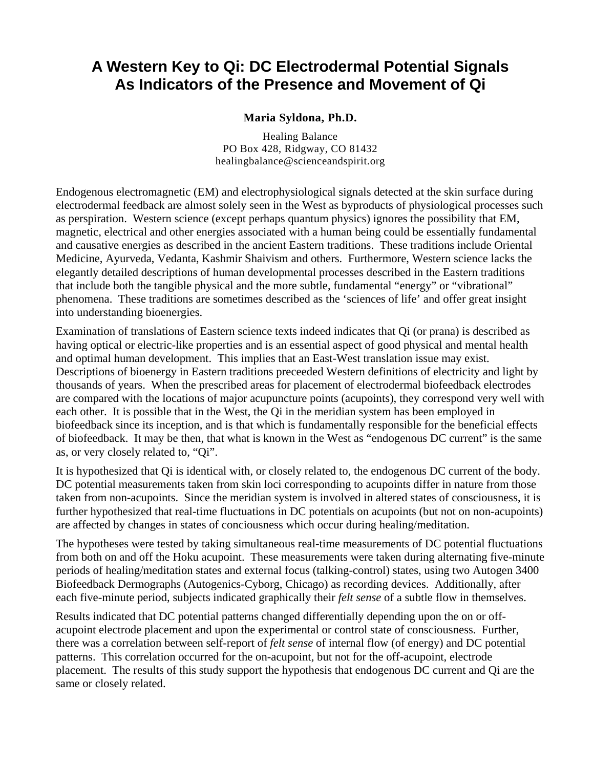# **A Western Key to Qi: DC Electrodermal Potential Signals As Indicators of the Presence and Movement of Qi**

### **Maria Syldona, Ph.D.**

Healing Balance PO Box 428, Ridgway, CO 81432 [healingbalance@scienceandspirit.org](mailto:healingbalance@scienceandspirit.org)

Endogenous electromagnetic (EM) and electrophysiological signals detected at the skin surface during electrodermal feedback are almost solely seen in the West as byproducts of physiological processes such as perspiration. Western science (except perhaps quantum physics) ignores the possibility that EM, magnetic, electrical and other energies associated with a human being could be essentially fundamental and causative energies as described in the ancient Eastern traditions. These traditions include Oriental Medicine, Ayurveda, Vedanta, Kashmir Shaivism and others. Furthermore, Western science lacks the elegantly detailed descriptions of human developmental processes described in the Eastern traditions that include both the tangible physical and the more subtle, fundamental "energy" or "vibrational" phenomena. These traditions are sometimes described as the 'sciences of life' and offer great insight into understanding bioenergies.

Examination of translations of Eastern science texts indeed indicates that Qi (or prana) is described as having optical or electric-like properties and is an essential aspect of good physical and mental health and optimal human development. This implies that an East-West translation issue may exist. Descriptions of bioenergy in Eastern traditions preceeded Western definitions of electricity and light by thousands of years. When the prescribed areas for placement of electrodermal biofeedback electrodes are compared with the locations of major acupuncture points (acupoints), they correspond very well with each other. It is possible that in the West, the Qi in the meridian system has been employed in biofeedback since its inception, and is that which is fundamentally responsible for the beneficial effects of biofeedback. It may be then, that what is known in the West as "endogenous DC current" is the same as, or very closely related to, "Qi".

It is hypothesized that Qi is identical with, or closely related to, the endogenous DC current of the body. DC potential measurements taken from skin loci corresponding to acupoints differ in nature from those taken from non-acupoints. Since the meridian system is involved in altered states of consciousness, it is further hypothesized that real-time fluctuations in DC potentials on acupoints (but not on non-acupoints) are affected by changes in states of conciousness which occur during healing/meditation.

The hypotheses were tested by taking simultaneous real-time measurements of DC potential fluctuations from both on and off the Hoku acupoint. These measurements were taken during alternating five-minute periods of healing/meditation states and external focus (talking-control) states, using two Autogen 3400 Biofeedback Dermographs (Autogenics-Cyborg, Chicago) as recording devices. Additionally, after each five-minute period, subjects indicated graphically their *felt sense* of a subtle flow in themselves.

Results indicated that DC potential patterns changed differentially depending upon the on or offacupoint electrode placement and upon the experimental or control state of consciousness. Further, there was a correlation between self-report of *felt sense* of internal flow (of energy) and DC potential patterns. This correlation occurred for the on-acupoint, but not for the off-acupoint, electrode placement. The results of this study support the hypothesis that endogenous DC current and Qi are the same or closely related.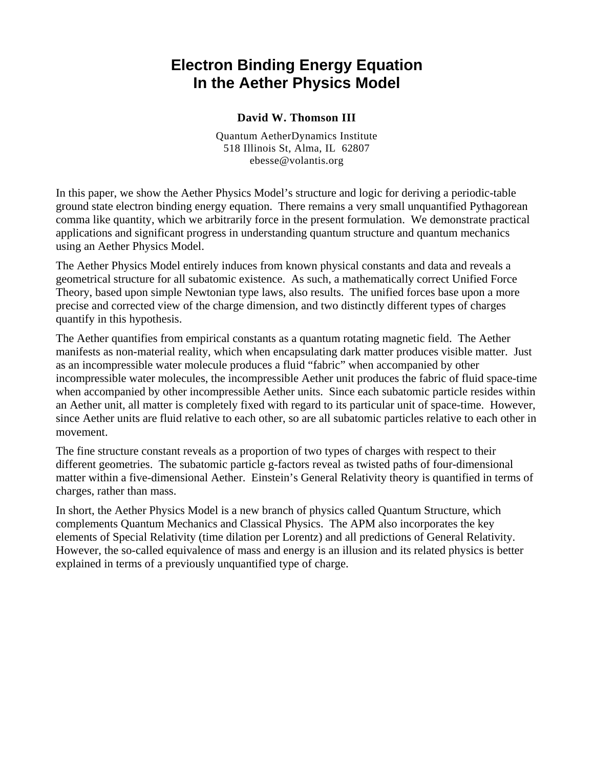# **Electron Binding Energy Equation In the Aether Physics Model**

### **David W. Thomson III**

Quantum AetherDynamics Institute 518 Illinois St, Alma, IL 62807 [ebesse@volantis.org](mailto:ebesse@volantis.org)

In this paper, we show the Aether Physics Model's structure and logic for deriving a periodic-table ground state electron binding energy equation. There remains a very small unquantified Pythagorean comma like quantity, which we arbitrarily force in the present formulation. We demonstrate practical applications and significant progress in understanding quantum structure and quantum mechanics using an Aether Physics Model.

The Aether Physics Model entirely induces from known physical constants and data and reveals a geometrical structure for all subatomic existence. As such, a mathematically correct Unified Force Theory, based upon simple Newtonian type laws, also results. The unified forces base upon a more precise and corrected view of the charge dimension, and two distinctly different types of charges quantify in this hypothesis.

The Aether quantifies from empirical constants as a quantum rotating magnetic field. The Aether manifests as non-material reality, which when encapsulating dark matter produces visible matter. Just as an incompressible water molecule produces a fluid "fabric" when accompanied by other incompressible water molecules, the incompressible Aether unit produces the fabric of fluid space-time when accompanied by other incompressible Aether units. Since each subatomic particle resides within an Aether unit, all matter is completely fixed with regard to its particular unit of space-time. However, since Aether units are fluid relative to each other, so are all subatomic particles relative to each other in movement.

The fine structure constant reveals as a proportion of two types of charges with respect to their different geometries. The subatomic particle g-factors reveal as twisted paths of four-dimensional matter within a five-dimensional Aether. Einstein's General Relativity theory is quantified in terms of charges, rather than mass.

In short, the Aether Physics Model is a new branch of physics called Quantum Structure, which complements Quantum Mechanics and Classical Physics. The APM also incorporates the key elements of Special Relativity (time dilation per Lorentz) and all predictions of General Relativity. However, the so-called equivalence of mass and energy is an illusion and its related physics is better explained in terms of a previously unquantified type of charge.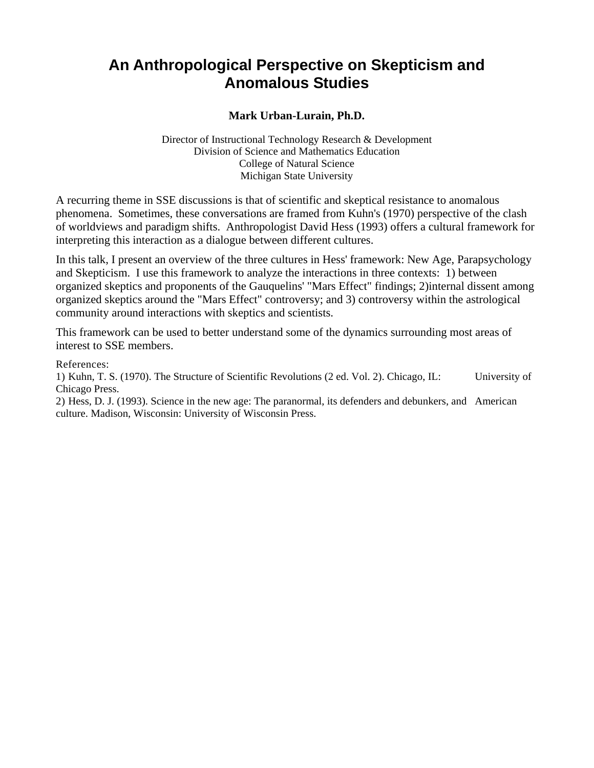# **An Anthropological Perspective on Skepticism and Anomalous Studies**

### **Mark Urban-Lurain, Ph.D.**

Director of Instructional Technology Research & Development Division of Science and Mathematics Education College of Natural Science Michigan State University

A recurring theme in SSE discussions is that of scientific and skeptical resistance to anomalous phenomena. Sometimes, these conversations are framed from Kuhn's (1970) perspective of the clash of worldviews and paradigm shifts. Anthropologist David Hess (1993) offers a cultural framework for interpreting this interaction as a dialogue between different cultures.

In this talk, I present an overview of the three cultures in Hess' framework: New Age, Parapsychology and Skepticism. I use this framework to analyze the interactions in three contexts: 1) between organized skeptics and proponents of the Gauquelins' "Mars Effect" findings; 2)internal dissent among organized skeptics around the "Mars Effect" controversy; and 3) controversy within the astrological community around interactions with skeptics and scientists.

This framework can be used to better understand some of the dynamics surrounding most areas of interest to SSE members.

References:

1) Kuhn, T. S. (1970). The Structure of Scientific Revolutions (2 ed. Vol. 2). Chicago, IL: University of Chicago Press.

2) Hess, D. J. (1993). Science in the new age: The paranormal, its defenders and debunkers, and American culture. Madison, Wisconsin: University of Wisconsin Press.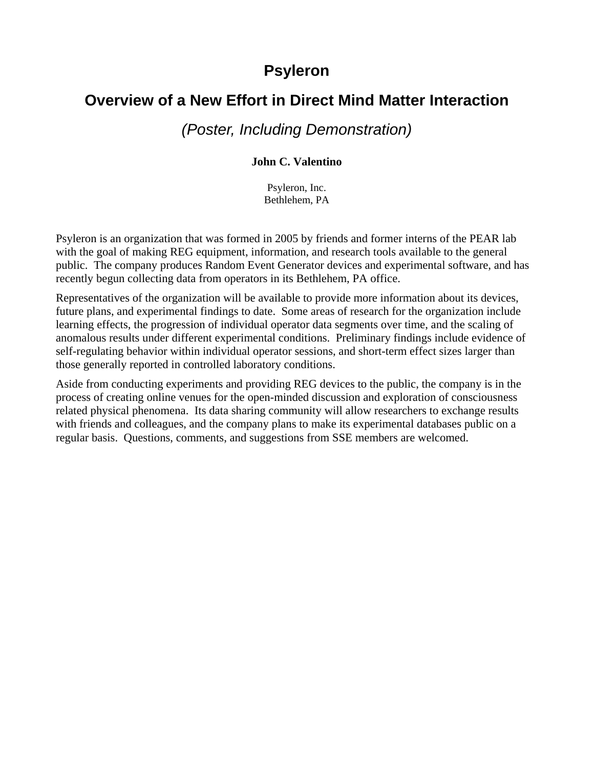### **Psyleron**

# **Overview of a New Effort in Direct Mind Matter Interaction**

*(Poster, Including Demonstration)*

### **John C. Valentino**

Psyleron, Inc. Bethlehem, PA

Psyleron is an organization that was formed in 2005 by friends and former interns of the PEAR lab with the goal of making REG equipment, information, and research tools available to the general public. The company produces Random Event Generator devices and experimental software, and has recently begun collecting data from operators in its Bethlehem, PA office.

Representatives of the organization will be available to provide more information about its devices, future plans, and experimental findings to date. Some areas of research for the organization include learning effects, the progression of individual operator data segments over time, and the scaling of anomalous results under different experimental conditions. Preliminary findings include evidence of self-regulating behavior within individual operator sessions, and short-term effect sizes larger than those generally reported in controlled laboratory conditions.

Aside from conducting experiments and providing REG devices to the public, the company is in the process of creating online venues for the open-minded discussion and exploration of consciousness related physical phenomena. Its data sharing community will allow researchers to exchange results with friends and colleagues, and the company plans to make its experimental databases public on a regular basis. Questions, comments, and suggestions from SSE members are welcomed.